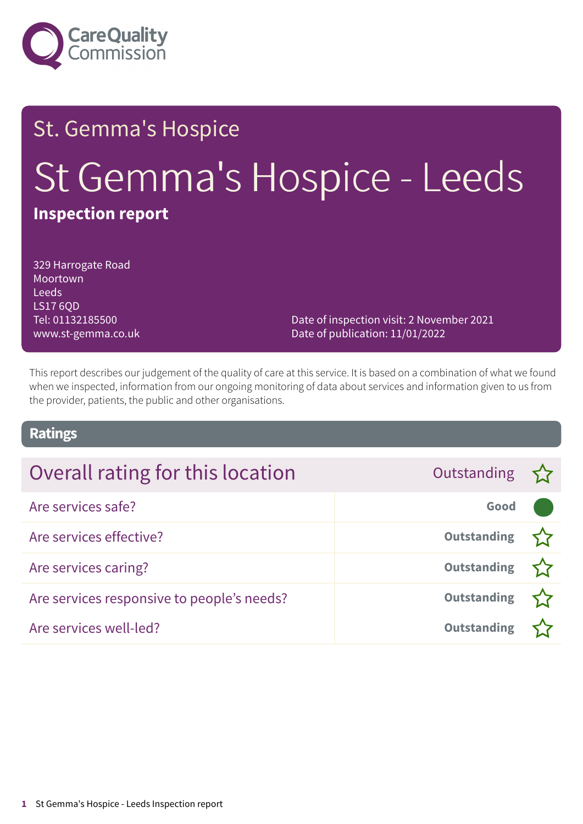

### St. Gemma's Hospice

# St Gemma's Hospice - Leeds

### **Inspection report**

329 Harrogate Road Moortown Leeds LS17 6QD Tel: 01132185500 www.st-gemma.co.uk

Date of inspection visit: 2 November 2021 Date of publication: 11/01/2022

This report describes our judgement of the quality of care at this service. It is based on a combination of what we found when we inspected, information from our ongoing monitoring of data about services and information given to us from the provider, patients, the public and other organisations.

#### **Ratings**

| Overall rating for this location           | Outstanding $\sum$ |  |
|--------------------------------------------|--------------------|--|
| Are services safe?                         | Good               |  |
| Are services effective?                    | <b>Outstanding</b> |  |
| Are services caring?                       | Outstanding        |  |
| Are services responsive to people's needs? | Outstanding        |  |
| Are services well-led?                     | <b>Outstanding</b> |  |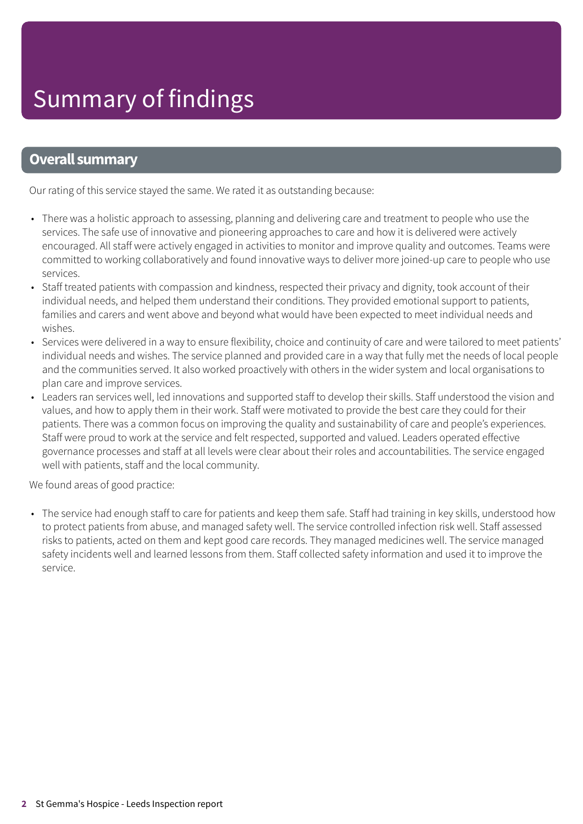#### **Overall summary**

Our rating of this service stayed the same. We rated it as outstanding because:

- There was a holistic approach to assessing, planning and delivering care and treatment to people who use the services. The safe use of innovative and pioneering approaches to care and how it is delivered were actively encouraged. All staff were actively engaged in activities to monitor and improve quality and outcomes. Teams were committed to working collaboratively and found innovative ways to deliver more joined-up care to people who use services.
- Staff treated patients with compassion and kindness, respected their privacy and dignity, took account of their individual needs, and helped them understand their conditions. They provided emotional support to patients, families and carers and went above and beyond what would have been expected to meet individual needs and wishes.
- Services were delivered in a way to ensure flexibility, choice and continuity of care and were tailored to meet patients' individual needs and wishes. The service planned and provided care in a way that fully met the needs of local people and the communities served. It also worked proactively with others in the wider system and local organisations to plan care and improve services.
- Leaders ran services well, led innovations and supported staff to develop their skills. Staff understood the vision and values, and how to apply them in their work. Staff were motivated to provide the best care they could for their patients. There was a common focus on improving the quality and sustainability of care and people's experiences. Staff were proud to work at the service and felt respected, supported and valued. Leaders operated effective governance processes and staff at all levels were clear about their roles and accountabilities. The service engaged well with patients, staff and the local community.

We found areas of good practice:

• The service had enough staff to care for patients and keep them safe. Staff had training in key skills, understood how to protect patients from abuse, and managed safety well. The service controlled infection risk well. Staff assessed risks to patients, acted on them and kept good care records. They managed medicines well. The service managed safety incidents well and learned lessons from them. Staff collected safety information and used it to improve the service.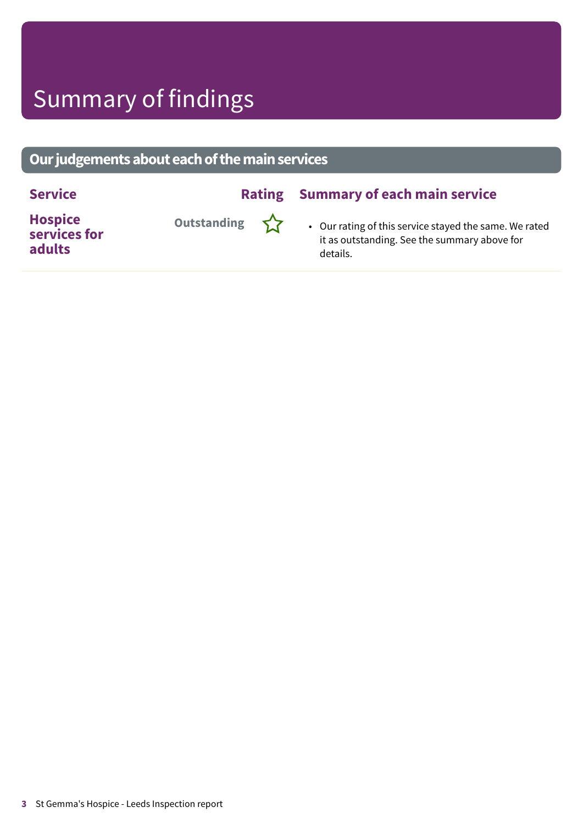### Summary of findings

#### **Ourjudgementsabouteachofthemainservices**

#### **Service Rating Summary of each main service**

**Hospice services for adults**



**Outstanding**  $\sum$  • Our rating of this service stayed the same. We rated it as outstanding. See the summary above for details.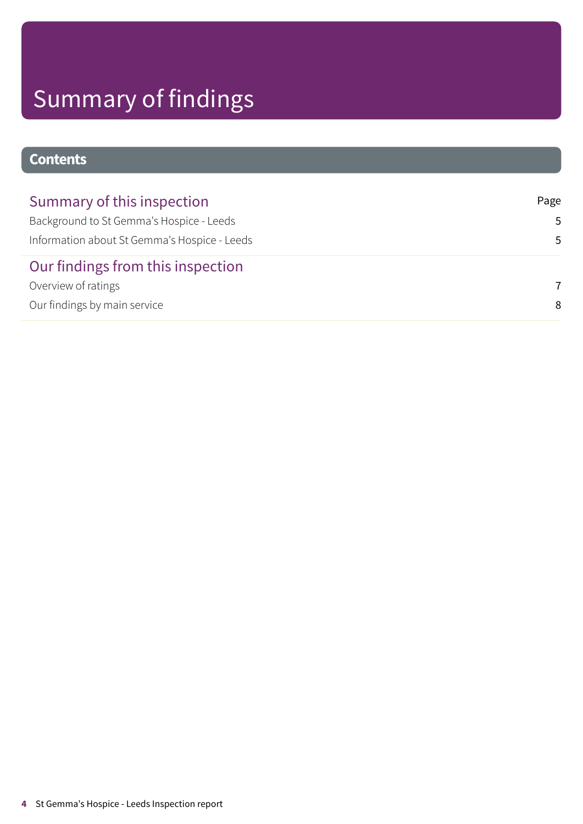## Summary of findings

#### **Contents**

| Summary of this inspection                   | Page           |
|----------------------------------------------|----------------|
| Background to St Gemma's Hospice - Leeds     | .5.            |
| Information about St Gemma's Hospice - Leeds | .5             |
| Our findings from this inspection            |                |
| Overview of ratings                          | $\overline{7}$ |
| Our findings by main service                 | 8              |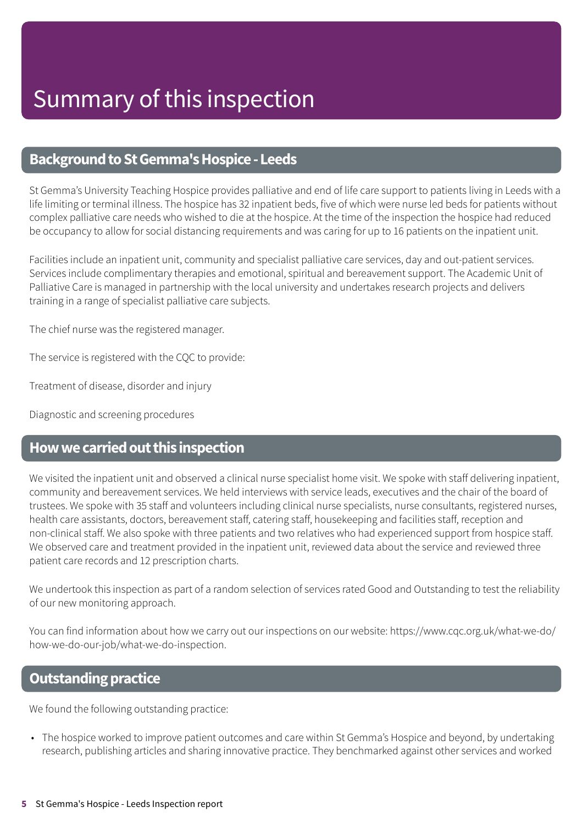#### <span id="page-4-0"></span>**Background to St Gemma's Hospice - Leeds**

St Gemma's University Teaching Hospice provides palliative and end of life care support to patients living in Leeds with a life limiting or terminal illness. The hospice has 32 inpatient beds, five of which were nurse led beds for patients without complex palliative care needs who wished to die at the hospice. At the time of the inspection the hospice had reduced be occupancy to allow for social distancing requirements and was caring for up to 16 patients on the inpatient unit.

Facilities include an inpatient unit, community and specialist palliative care services, day and out-patient services. Services include complimentary therapies and emotional, spiritual and bereavement support. The Academic Unit of Palliative Care is managed in partnership with the local university and undertakes research projects and delivers training in a range of specialist palliative care subjects.

The chief nurse was the registered manager.

The service is registered with the CQC to provide:

Treatment of disease, disorder and injury

Diagnostic and screening procedures

#### <span id="page-4-1"></span>**Howwecarriedoutthis inspection**

We visited the inpatient unit and observed a clinical nurse specialist home visit. We spoke with staff delivering inpatient, community and bereavement services. We held interviews with service leads, executives and the chair of the board of trustees. We spoke with 35 staff and volunteers including clinical nurse specialists, nurse consultants, registered nurses, health care assistants, doctors, bereavement staff, catering staff, housekeeping and facilities staff, reception and non-clinical staff. We also spoke with three patients and two relatives who had experienced support from hospice staff. We observed care and treatment provided in the inpatient unit, reviewed data about the service and reviewed three patient care records and 12 prescription charts.

We undertook this inspection as part of a random selection of services rated Good and Outstanding to test the reliability of our new monitoring approach.

You can find information about how we carry out our inspections on our website: https://www.cqc.org.uk/what-we-do/ how-we-do-our-job/what-we-do-inspection.

#### **Outstanding practice**

We found the following outstanding practice:

• The hospice worked to improve patient outcomes and care within St Gemma's Hospice and beyond, by undertaking research, publishing articles and sharing innovative practice. They benchmarked against other services and worked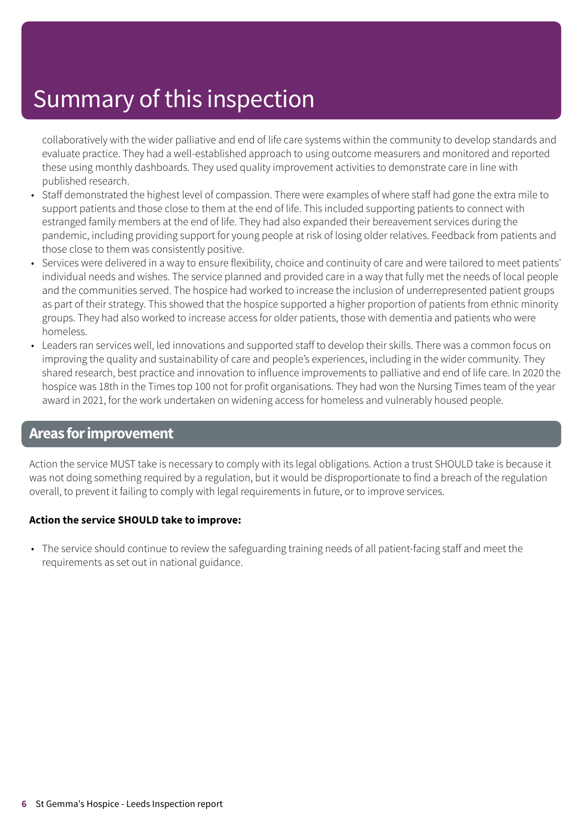### Summary of this inspection

collaboratively with the wider palliative and end of life care systems within the community to develop standards and evaluate practice. They had a well-established approach to using outcome measurers and monitored and reported these using monthly dashboards. They used quality improvement activities to demonstrate care in line with published research.

- Staff demonstrated the highest level of compassion. There were examples of where staff had gone the extra mile to support patients and those close to them at the end of life. This included supporting patients to connect with estranged family members at the end of life. They had also expanded their bereavement services during the pandemic, including providing support for young people at risk of losing older relatives. Feedback from patients and those close to them was consistently positive.
- Services were delivered in a way to ensure flexibility, choice and continuity of care and were tailored to meet patients' individual needs and wishes. The service planned and provided care in a way that fully met the needs of local people and the communities served. The hospice had worked to increase the inclusion of underrepresented patient groups as part of their strategy. This showed that the hospice supported a higher proportion of patients from ethnic minority groups. They had also worked to increase access for older patients, those with dementia and patients who were homeless.
- Leaders ran services well, led innovations and supported staff to develop their skills. There was a common focus on improving the quality and sustainability of care and people's experiences, including in the wider community. They shared research, best practice and innovation to influence improvements to palliative and end of life care. In 2020 the hospice was 18th in the Times top 100 not for profit organisations. They had won the Nursing Times team of the year award in 2021, for the work undertaken on widening access for homeless and vulnerably housed people.

#### **Areas forimprovement**

Action the service MUST take is necessary to comply with its legal obligations. Action a trust SHOULD take is because it was not doing something required by a regulation, but it would be disproportionate to find a breach of the regulation overall, to prevent it failing to comply with legal requirements in future, or to improve services.

#### **Action the service SHOULD take to improve:**

• The service should continue to review the safeguarding training needs of all patient-facing staff and meet the requirements as set out in national guidance.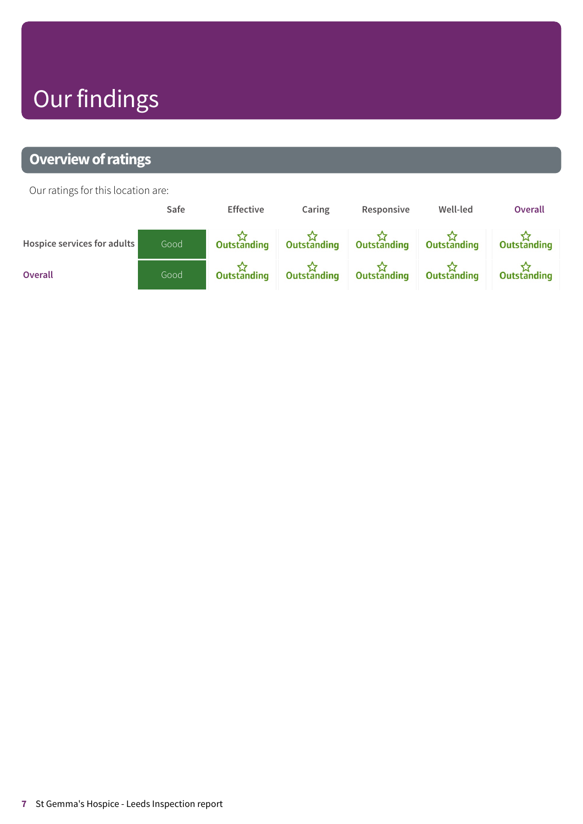### **Our findings**

#### <span id="page-6-0"></span>**Overview of ratings**

Our ratings for this location are:

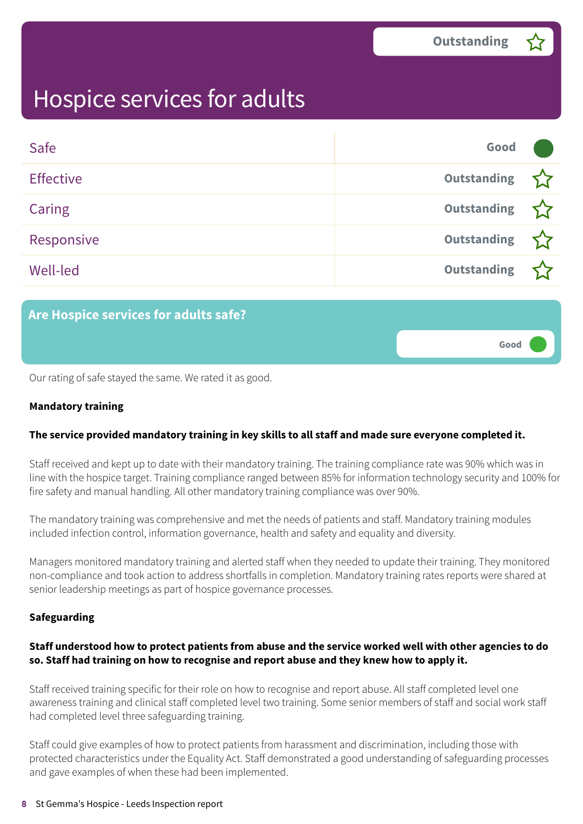**Good –––**

### <span id="page-7-0"></span>Hospice services for adults

| Safe             | Good               |  |
|------------------|--------------------|--|
| <b>Effective</b> | Outstanding        |  |
| Caring           | <b>Outstanding</b> |  |
| Responsive       | <b>Outstanding</b> |  |
| <b>Well-led</b>  | <b>Outstanding</b> |  |

#### **Are Hospice services for adults safe?**

Our rating of safe stayed the same. We rated it as good.

#### **Mandatory training**

#### **The service provided mandatory training in key skills to all staff and made sure everyone completed it.**

Staff received and kept up to date with their mandatory training. The training compliance rate was 90% which was in line with the hospice target. Training compliance ranged between 85% for information technology security and 100% for fire safety and manual handling. All other mandatory training compliance was over 90%.

The mandatory training was comprehensive and met the needs of patients and staff. Mandatory training modules included infection control, information governance, health and safety and equality and diversity.

Managers monitored mandatory training and alerted staff when they needed to update their training. They monitored non-compliance and took action to address shortfalls in completion. Mandatory training rates reports were shared at senior leadership meetings as part of hospice governance processes.

#### **Safeguarding**

#### Staff understood how to protect patients from abuse and the service worked well with other agencies to do **so. Staff had training on how to recognise and report abuse and they knew how to apply it.**

Staff received training specific for their role on how to recognise and report abuse. All staff completed level one awareness training and clinical staff completed level two training. Some senior members of staff and social work staff had completed level three safeguarding training.

Staff could give examples of how to protect patients from harassment and discrimination, including those with protected characteristics under the Equality Act. Staff demonstrated a good understanding of safeguarding processes and gave examples of when these had been implemented.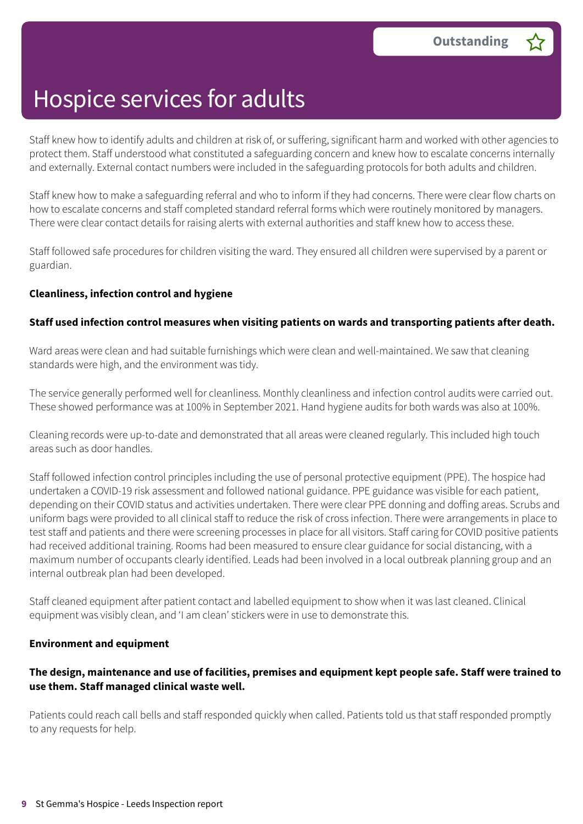Staff knew how to identify adults and children at risk of, or suffering, significant harm and worked with other agencies to protect them. Staff understood what constituted a safeguarding concern and knew how to escalate concerns internally and externally. External contact numbers were included in the safeguarding protocols for both adults and children.

Staff knew how to make a safeguarding referral and who to inform if they had concerns. There were clear flow charts on how to escalate concerns and staff completed standard referral forms which were routinely monitored by managers. There were clear contact details for raising alerts with external authorities and staff knew how to access these.

Staff followed safe procedures for children visiting the ward. They ensured all children were supervised by a parent or guardian.

#### **Cleanliness, infection control and hygiene**

#### **Staff used infection control measures when visiting patients on wards and transporting patients after death.**

Ward areas were clean and had suitable furnishings which were clean and well-maintained. We saw that cleaning standards were high, and the environment was tidy.

The service generally performed well for cleanliness. Monthly cleanliness and infection control audits were carried out. These showed performance was at 100% in September 2021. Hand hygiene audits for both wards was also at 100%.

Cleaning records were up-to-date and demonstrated that all areas were cleaned regularly. This included high touch areas such as door handles.

Staff followed infection control principles including the use of personal protective equipment (PPE). The hospice had undertaken a COVID-19 risk assessment and followed national guidance. PPE guidance was visible for each patient, depending on their COVID status and activities undertaken. There were clear PPE donning and doffing areas. Scrubs and uniform bags were provided to all clinical staff to reduce the risk of cross infection. There were arrangements in place to test staff and patients and there were screening processes in place for all visitors. Staff caring for COVID positive patients had received additional training. Rooms had been measured to ensure clear guidance for social distancing, with a maximum number of occupants clearly identified. Leads had been involved in a local outbreak planning group and an internal outbreak plan had been developed.

Staff cleaned equipment after patient contact and labelled equipment to show when it was last cleaned. Clinical equipment was visibly clean, and 'I am clean' stickers were in use to demonstrate this.

#### **Environment and equipment**

#### The design, maintenance and use of facilities, premises and equipment kept people safe. Staff were trained to **use them. Staff managed clinical waste well.**

Patients could reach call bells and staff responded quickly when called. Patients told us that staff responded promptly to any requests for help.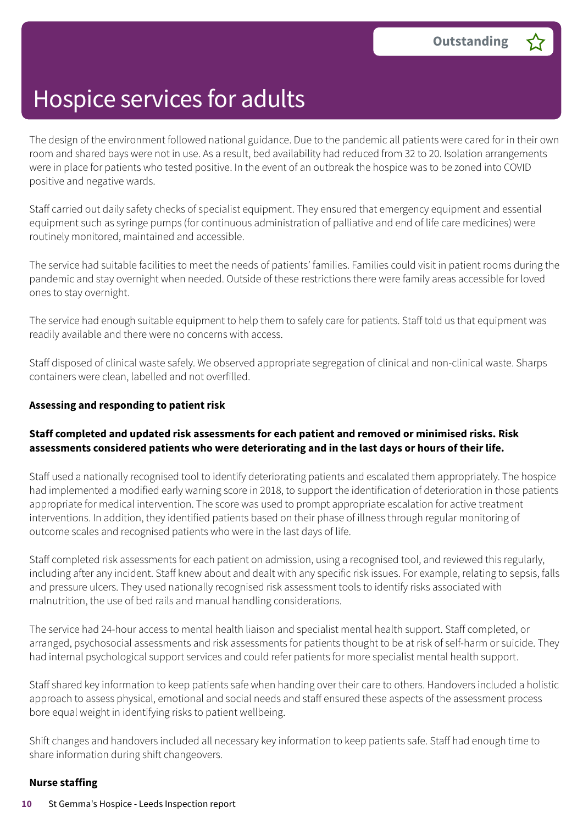The design of the environment followed national guidance. Due to the pandemic all patients were cared for in their own room and shared bays were not in use. As a result, bed availability had reduced from 32 to 20. Isolation arrangements were in place for patients who tested positive. In the event of an outbreak the hospice was to be zoned into COVID positive and negative wards.

Staff carried out daily safety checks of specialist equipment. They ensured that emergency equipment and essential equipment such as syringe pumps (for continuous administration of palliative and end of life care medicines) were routinely monitored, maintained and accessible.

The service had suitable facilities to meet the needs of patients' families. Families could visit in patient rooms during the pandemic and stay overnight when needed. Outside of these restrictions there were family areas accessible for loved ones to stay overnight.

The service had enough suitable equipment to help them to safely care for patients. Staff told us that equipment was readily available and there were no concerns with access.

Staff disposed of clinical waste safely. We observed appropriate segregation of clinical and non-clinical waste. Sharps containers were clean, labelled and not overfilled.

#### **Assessing and responding to patient risk**

#### **Staff completed and updated risk assessments for each patient and removed or minimised risks. Risk assessments considered patients who were deteriorating and in the last days or hours of their life.**

Staff used a nationally recognised tool to identify deteriorating patients and escalated them appropriately. The hospice had implemented a modified early warning score in 2018, to support the identification of deterioration in those patients appropriate for medical intervention. The score was used to prompt appropriate escalation for active treatment interventions. In addition, they identified patients based on their phase of illness through regular monitoring of outcome scales and recognised patients who were in the last days of life.

Staff completed risk assessments for each patient on admission, using a recognised tool, and reviewed this regularly, including after any incident. Staff knew about and dealt with any specific risk issues. For example, relating to sepsis, falls and pressure ulcers. They used nationally recognised risk assessment tools to identify risks associated with malnutrition, the use of bed rails and manual handling considerations.

The service had 24-hour access to mental health liaison and specialist mental health support. Staff completed, or arranged, psychosocial assessments and risk assessments for patients thought to be at risk of self-harm or suicide. They had internal psychological support services and could refer patients for more specialist mental health support.

Staff shared key information to keep patients safe when handing over their care to others. Handovers included a holistic approach to assess physical, emotional and social needs and staff ensured these aspects of the assessment process bore equal weight in identifying risks to patient wellbeing.

Shift changes and handovers included all necessary key information to keep patients safe. Staff had enough time to share information during shift changeovers.

#### **Nurse staffing**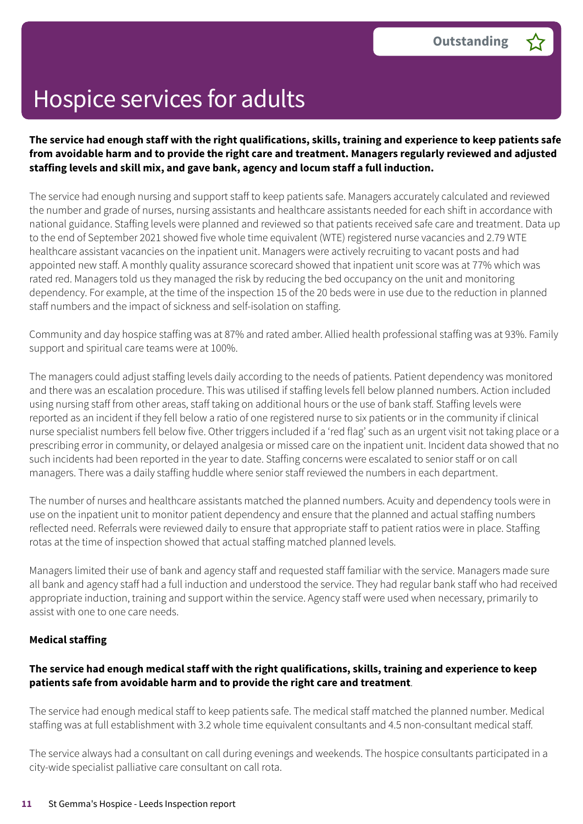#### The service had enough staff with the right qualifications, skills, training and experience to keep patients safe **from avoidable harm and to provide the right care and treatment. Managers regularly reviewed and adjusted staffing levels and skill mix, and gave bank, agency and locum staff a full induction.**

The service had enough nursing and support staff to keep patients safe. Managers accurately calculated and reviewed the number and grade of nurses, nursing assistants and healthcare assistants needed for each shift in accordance with national guidance. Staffing levels were planned and reviewed so that patients received safe care and treatment. Data up to the end of September 2021 showed five whole time equivalent (WTE) registered nurse vacancies and 2.79 WTE healthcare assistant vacancies on the inpatient unit. Managers were actively recruiting to vacant posts and had appointed new staff. A monthly quality assurance scorecard showed that inpatient unit score was at 77% which was rated red. Managers told us they managed the risk by reducing the bed occupancy on the unit and monitoring dependency. For example, at the time of the inspection 15 of the 20 beds were in use due to the reduction in planned staff numbers and the impact of sickness and self-isolation on staffing.

Community and day hospice staffing was at 87% and rated amber. Allied health professional staffing was at 93%. Family support and spiritual care teams were at 100%.

The managers could adjust staffing levels daily according to the needs of patients. Patient dependency was monitored and there was an escalation procedure. This was utilised if staffing levels fell below planned numbers. Action included using nursing staff from other areas, staff taking on additional hours or the use of bank staff. Staffing levels were reported as an incident if they fell below a ratio of one registered nurse to six patients or in the community if clinical nurse specialist numbers fell below five. Other triggers included if a 'red flag' such as an urgent visit not taking place or a prescribing error in community, or delayed analgesia or missed care on the inpatient unit. Incident data showed that no such incidents had been reported in the year to date. Staffing concerns were escalated to senior staff or on call managers. There was a daily staffing huddle where senior staff reviewed the numbers in each department.

The number of nurses and healthcare assistants matched the planned numbers. Acuity and dependency tools were in use on the inpatient unit to monitor patient dependency and ensure that the planned and actual staffing numbers reflected need. Referrals were reviewed daily to ensure that appropriate staff to patient ratios were in place. Staffing rotas at the time of inspection showed that actual staffing matched planned levels.

Managers limited their use of bank and agency staff and requested staff familiar with the service. Managers made sure all bank and agency staff had a full induction and understood the service. They had regular bank staff who had received appropriate induction, training and support within the service. Agency staff were used when necessary, primarily to assist with one to one care needs.

#### **Medical staffing**

#### **The service had enough medical staff with the right qualifications, skills, training and experience to keep patients safe from avoidable harm and to provide the right care and treatment**.

The service had enough medical staff to keep patients safe. The medical staff matched the planned number. Medical staffing was at full establishment with 3.2 whole time equivalent consultants and 4.5 non-consultant medical staff.

The service always had a consultant on call during evenings and weekends. The hospice consultants participated in a city-wide specialist palliative care consultant on call rota.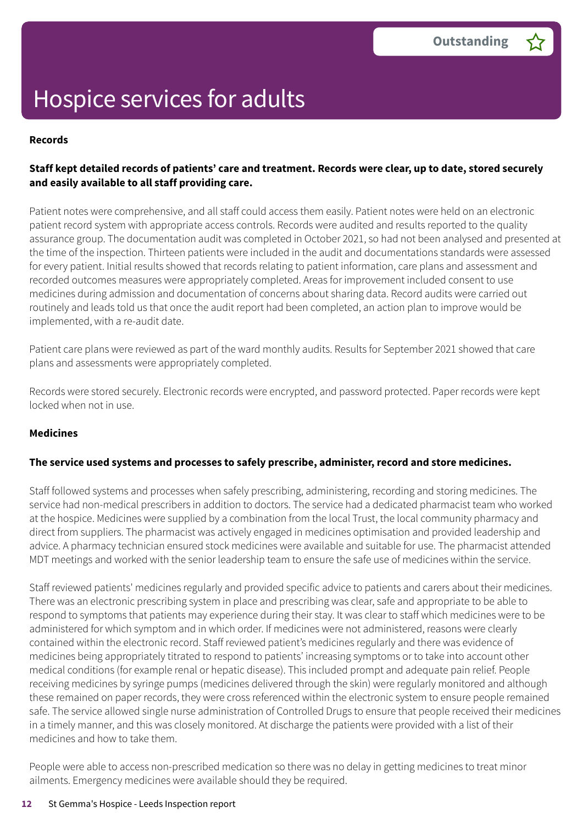#### **Records**

#### Staff kept detailed records of patients' care and treatment. Records were clear, up to date, stored securely **and easily available to all staff providing care.**

Patient notes were comprehensive, and all staff could access them easily. Patient notes were held on an electronic patient record system with appropriate access controls. Records were audited and results reported to the quality assurance group. The documentation audit was completed in October 2021, so had not been analysed and presented at the time of the inspection. Thirteen patients were included in the audit and documentations standards were assessed for every patient. Initial results showed that records relating to patient information, care plans and assessment and recorded outcomes measures were appropriately completed. Areas for improvement included consent to use medicines during admission and documentation of concerns about sharing data. Record audits were carried out routinely and leads told us that once the audit report had been completed, an action plan to improve would be implemented, with a re-audit date.

Patient care plans were reviewed as part of the ward monthly audits. Results for September 2021 showed that care plans and assessments were appropriately completed.

Records were stored securely. Electronic records were encrypted, and password protected. Paper records were kept locked when not in use.

#### **Medicines**

#### **The service used systems and processes to safely prescribe, administer, record and store medicines.**

Staff followed systems and processes when safely prescribing, administering, recording and storing medicines. The service had non-medical prescribers in addition to doctors. The service had a dedicated pharmacist team who worked at the hospice. Medicines were supplied by a combination from the local Trust, the local community pharmacy and direct from suppliers. The pharmacist was actively engaged in medicines optimisation and provided leadership and advice. A pharmacy technician ensured stock medicines were available and suitable for use. The pharmacist attended MDT meetings and worked with the senior leadership team to ensure the safe use of medicines within the service.

Staff reviewed patients' medicines regularly and provided specific advice to patients and carers about their medicines. There was an electronic prescribing system in place and prescribing was clear, safe and appropriate to be able to respond to symptoms that patients may experience during their stay. It was clear to staff which medicines were to be administered for which symptom and in which order. If medicines were not administered, reasons were clearly contained within the electronic record. Staff reviewed patient's medicines regularly and there was evidence of medicines being appropriately titrated to respond to patients' increasing symptoms or to take into account other medical conditions (for example renal or hepatic disease). This included prompt and adequate pain relief. People receiving medicines by syringe pumps (medicines delivered through the skin) were regularly monitored and although these remained on paper records, they were cross referenced within the electronic system to ensure people remained safe. The service allowed single nurse administration of Controlled Drugs to ensure that people received their medicines in a timely manner, and this was closely monitored. At discharge the patients were provided with a list of their medicines and how to take them.

People were able to access non-prescribed medication so there was no delay in getting medicines to treat minor ailments. Emergency medicines were available should they be required.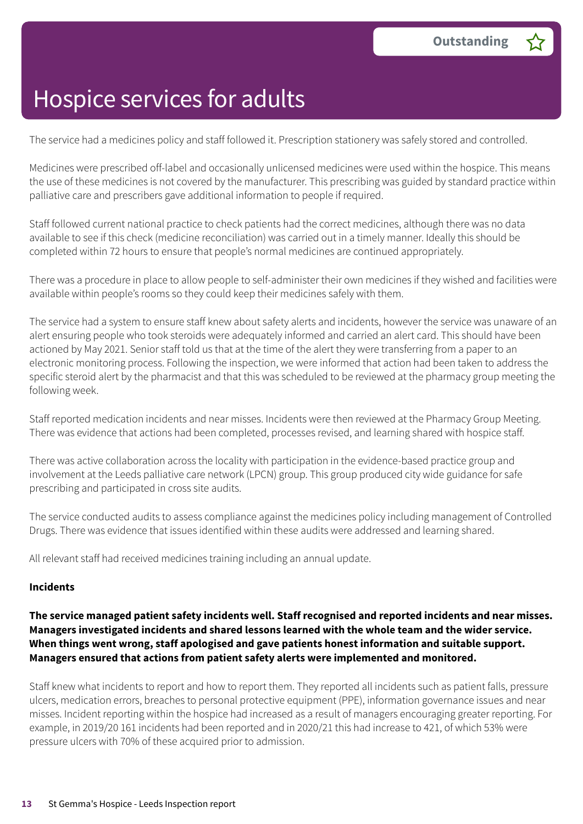The service had a medicines policy and staff followed it. Prescription stationery was safely stored and controlled.

Medicines were prescribed off-label and occasionally unlicensed medicines were used within the hospice. This means the use of these medicines is not covered by the manufacturer. This prescribing was guided by standard practice within palliative care and prescribers gave additional information to people if required.

Staff followed current national practice to check patients had the correct medicines, although there was no data available to see if this check (medicine reconciliation) was carried out in a timely manner. Ideally this should be completed within 72 hours to ensure that people's normal medicines are continued appropriately.

There was a procedure in place to allow people to self-administer their own medicines if they wished and facilities were available within people's rooms so they could keep their medicines safely with them.

The service had a system to ensure staff knew about safety alerts and incidents, however the service was unaware of an alert ensuring people who took steroids were adequately informed and carried an alert card. This should have been actioned by May 2021. Senior staff told us that at the time of the alert they were transferring from a paper to an electronic monitoring process. Following the inspection, we were informed that action had been taken to address the specific steroid alert by the pharmacist and that this was scheduled to be reviewed at the pharmacy group meeting the following week.

Staff reported medication incidents and near misses. Incidents were then reviewed at the Pharmacy Group Meeting. There was evidence that actions had been completed, processes revised, and learning shared with hospice staff.

There was active collaboration across the locality with participation in the evidence-based practice group and involvement at the Leeds palliative care network (LPCN) group. This group produced city wide guidance for safe prescribing and participated in cross site audits.

The service conducted audits to assess compliance against the medicines policy including management of Controlled Drugs. There was evidence that issues identified within these audits were addressed and learning shared.

All relevant staff had received medicines training including an annual update.

#### **Incidents**

#### **The service managed patient safety incidents well. Staff recognised and reported incidents and near misses. Managers investigated incidents and shared lessons learned with the whole team and the wider service. When things went wrong, staff apologised and gave patients honest information and suitable support. Managers ensured that actions from patient safety alerts were implemented and monitored.**

Staff knew what incidents to report and how to report them. They reported all incidents such as patient falls, pressure ulcers, medication errors, breaches to personal protective equipment (PPE), information governance issues and near misses. Incident reporting within the hospice had increased as a result of managers encouraging greater reporting. For example, in 2019/20 161 incidents had been reported and in 2020/21 this had increase to 421, of which 53% were pressure ulcers with 70% of these acquired prior to admission.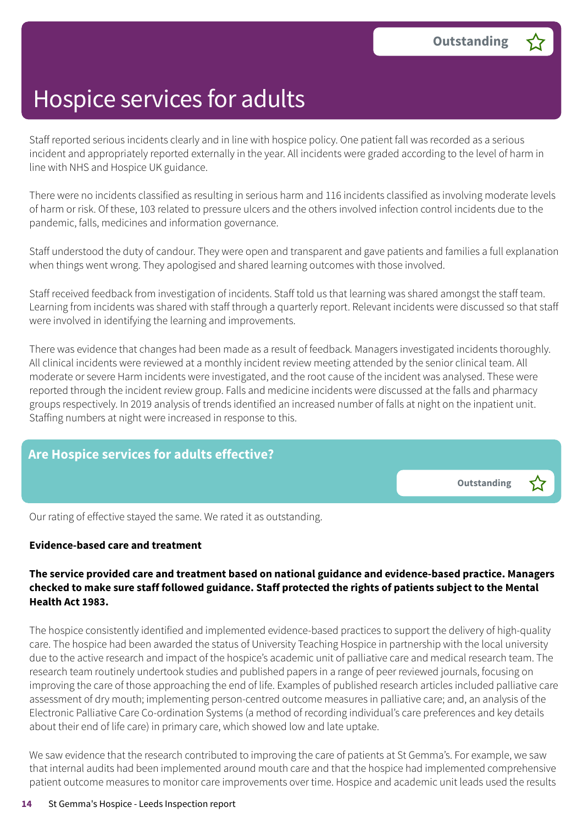Staff reported serious incidents clearly and in line with hospice policy. One patient fall was recorded as a serious incident and appropriately reported externally in the year. All incidents were graded according to the level of harm in line with NHS and Hospice UK guidance.

There were no incidents classified as resulting in serious harm and 116 incidents classified as involving moderate levels of harm or risk. Of these, 103 related to pressure ulcers and the others involved infection control incidents due to the pandemic, falls, medicines and information governance.

Staff understood the duty of candour. They were open and transparent and gave patients and families a full explanation when things went wrong. They apologised and shared learning outcomes with those involved.

Staff received feedback from investigation of incidents. Staff told us that learning was shared amongst the staff team. Learning from incidents was shared with staff through a quarterly report. Relevant incidents were discussed so that staff were involved in identifying the learning and improvements.

There was evidence that changes had been made as a result of feedback*.* Managers investigated incidents thoroughly. All clinical incidents were reviewed at a monthly incident review meeting attended by the senior clinical team. All moderate or severe Harm incidents were investigated, and the root cause of the incident was analysed. These were reported through the incident review group. Falls and medicine incidents were discussed at the falls and pharmacy groups respectively. In 2019 analysis of trends identified an increased number of falls at night on the inpatient unit. Staffing numbers at night were increased in response to this.

#### **Are Hospice services for adults effective?**

**Outstanding –**

Our rating of effective stayed the same. We rated it as outstanding.

#### **Evidence-based care and treatment**

#### **The service provided care and treatment based on national guidance and evidence-based practice. Managers** checked to make sure staff followed guidance. Staff protected the rights of patients subject to the Mental **Health Act 1983.**

The hospice consistently identified and implemented evidence-based practices to support the delivery of high-quality care. The hospice had been awarded the status of University Teaching Hospice in partnership with the local university due to the active research and impact of the hospice's academic unit of palliative care and medical research team. The research team routinely undertook studies and published papers in a range of peer reviewed journals, focusing on improving the care of those approaching the end of life. Examples of published research articles included palliative care assessment of dry mouth; implementing person-centred outcome measures in palliative care; and, an analysis of the Electronic Palliative Care Co-ordination Systems (a method of recording individual's care preferences and key details about their end of life care) in primary care, which showed low and late uptake.

We saw evidence that the research contributed to improving the care of patients at St Gemma's. For example, we saw that internal audits had been implemented around mouth care and that the hospice had implemented comprehensive patient outcome measures to monitor care improvements over time. Hospice and academic unit leads used the results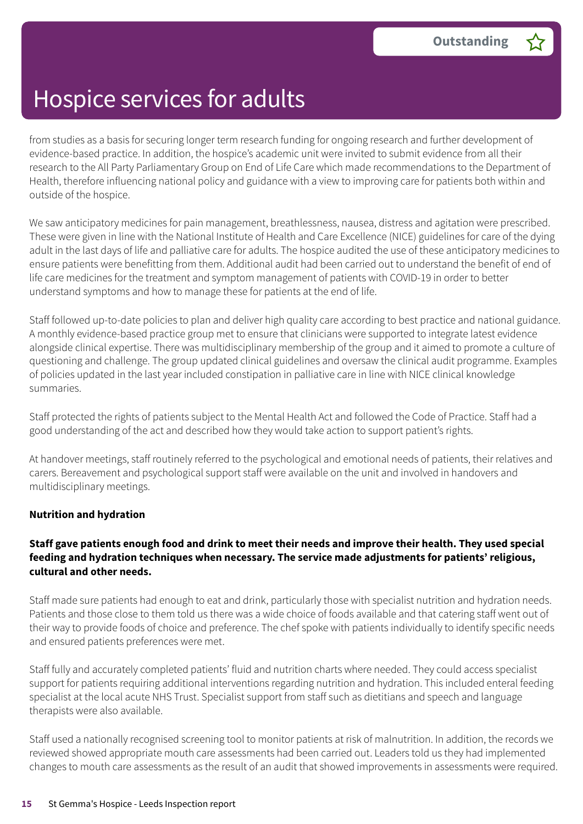from studies as a basis for securing longer term research funding for ongoing research and further development of evidence-based practice. In addition, the hospice's academic unit were invited to submit evidence from all their research to the All Party Parliamentary Group on End of Life Care which made recommendations to the Department of Health, therefore influencing national policy and guidance with a view to improving care for patients both within and outside of the hospice.

We saw anticipatory medicines for pain management, breathlessness, nausea, distress and agitation were prescribed. These were given in line with the National Institute of Health and Care Excellence (NICE) guidelines for care of the dying adult in the last days of life and palliative care for adults. The hospice audited the use of these anticipatory medicines to ensure patients were benefitting from them. Additional audit had been carried out to understand the benefit of end of life care medicines for the treatment and symptom management of patients with COVID-19 in order to better understand symptoms and how to manage these for patients at the end of life.

Staff followed up-to-date policies to plan and deliver high quality care according to best practice and national guidance. A monthly evidence-based practice group met to ensure that clinicians were supported to integrate latest evidence alongside clinical expertise. There was multidisciplinary membership of the group and it aimed to promote a culture of questioning and challenge. The group updated clinical guidelines and oversaw the clinical audit programme. Examples of policies updated in the last year included constipation in palliative care in line with NICE clinical knowledge summaries.

Staff protected the rights of patients subject to the Mental Health Act and followed the Code of Practice. Staff had a good understanding of the act and described how they would take action to support patient's rights.

At handover meetings, staff routinely referred to the psychological and emotional needs of patients, their relatives and carers. Bereavement and psychological support staff were available on the unit and involved in handovers and multidisciplinary meetings.

#### **Nutrition and hydration**

#### Staff gave patients enough food and drink to meet their needs and improve their health. They used special **feeding and hydration techniques when necessary. The service made adjustments for patients' religious, cultural and other needs.**

Staff made sure patients had enough to eat and drink, particularly those with specialist nutrition and hydration needs. Patients and those close to them told us there was a wide choice of foods available and that catering staff went out of their way to provide foods of choice and preference. The chef spoke with patients individually to identify specific needs and ensured patients preferences were met.

Staff fully and accurately completed patients' fluid and nutrition charts where needed. They could access specialist support for patients requiring additional interventions regarding nutrition and hydration. This included enteral feeding specialist at the local acute NHS Trust. Specialist support from staff such as dietitians and speech and language therapists were also available.

Staff used a nationally recognised screening tool to monitor patients at risk of malnutrition. In addition, the records we reviewed showed appropriate mouth care assessments had been carried out. Leaders told us they had implemented changes to mouth care assessments as the result of an audit that showed improvements in assessments were required.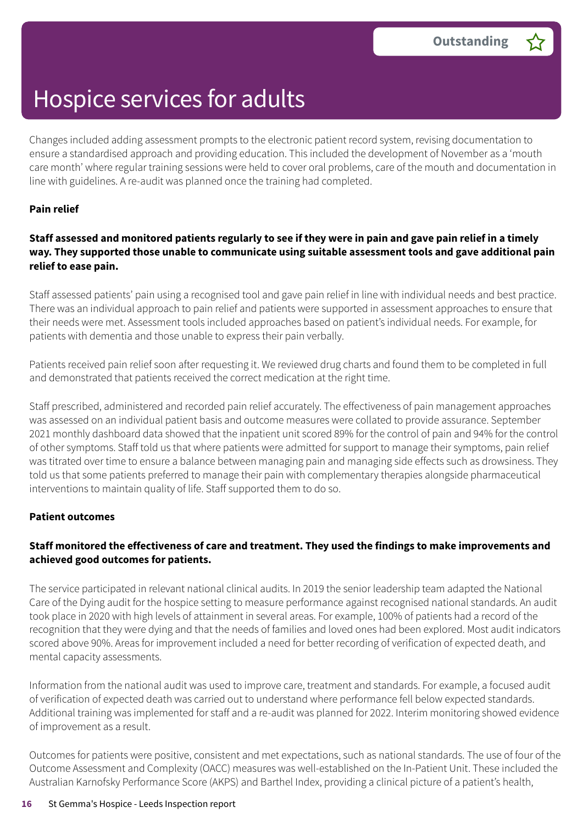Changes included adding assessment prompts to the electronic patient record system, revising documentation to ensure a standardised approach and providing education. This included the development of November as a 'mouth care month' where regular training sessions were held to cover oral problems, care of the mouth and documentation in line with guidelines. A re-audit was planned once the training had completed.

#### **Pain relief**

#### Staff assessed and monitored patients regularly to see if they were in pain and gave pain relief in a timely **way. They supported those unable to communicate using suitable assessment tools and gave additional pain relief to ease pain.**

Staff assessed patients' pain using a recognised tool and gave pain relief in line with individual needs and best practice. There was an individual approach to pain relief and patients were supported in assessment approaches to ensure that their needs were met. Assessment tools included approaches based on patient's individual needs. For example, for patients with dementia and those unable to express their pain verbally.

Patients received pain relief soon after requesting it. We reviewed drug charts and found them to be completed in full and demonstrated that patients received the correct medication at the right time.

Staff prescribed, administered and recorded pain relief accurately. The effectiveness of pain management approaches was assessed on an individual patient basis and outcome measures were collated to provide assurance. September 2021 monthly dashboard data showed that the inpatient unit scored 89% for the control of pain and 94% for the control of other symptoms. Staff told us that where patients were admitted for support to manage their symptoms, pain relief was titrated over time to ensure a balance between managing pain and managing side effects such as drowsiness. They told us that some patients preferred to manage their pain with complementary therapies alongside pharmaceutical interventions to maintain quality of life. Staff supported them to do so.

#### **Patient outcomes**

#### **Staff monitored the effectiveness of care and treatment. They used the findings to make improvements and achieved good outcomes for patients.**

The service participated in relevant national clinical audits. In 2019 the senior leadership team adapted the National Care of the Dying audit for the hospice setting to measure performance against recognised national standards. An audit took place in 2020 with high levels of attainment in several areas. For example, 100% of patients had a record of the recognition that they were dying and that the needs of families and loved ones had been explored. Most audit indicators scored above 90%. Areas for improvement included a need for better recording of verification of expected death, and mental capacity assessments.

Information from the national audit was used to improve care, treatment and standards. For example, a focused audit of verification of expected death was carried out to understand where performance fell below expected standards. Additional training was implemented for staff and a re-audit was planned for 2022. Interim monitoring showed evidence of improvement as a result.

Outcomes for patients were positive, consistent and met expectations, such as national standards. The use of four of the Outcome Assessment and Complexity (OACC) measures was well-established on the In-Patient Unit. These included the Australian Karnofsky Performance Score (AKPS) and Barthel Index, providing a clinical picture of a patient's health,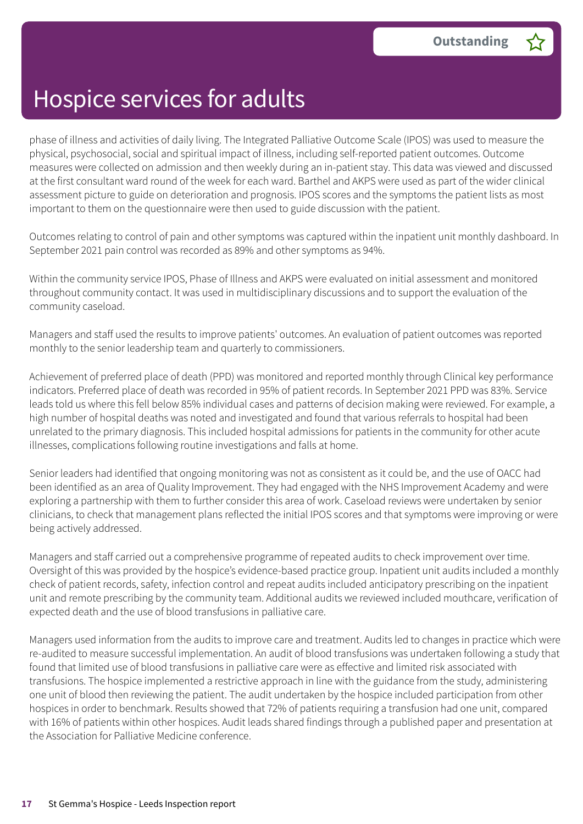phase of illness and activities of daily living. The Integrated Palliative Outcome Scale (IPOS) was used to measure the physical, psychosocial, social and spiritual impact of illness, including self-reported patient outcomes. Outcome measures were collected on admission and then weekly during an in-patient stay. This data was viewed and discussed at the first consultant ward round of the week for each ward. Barthel and AKPS were used as part of the wider clinical assessment picture to guide on deterioration and prognosis. IPOS scores and the symptoms the patient lists as most important to them on the questionnaire were then used to guide discussion with the patient.

Outcomes relating to control of pain and other symptoms was captured within the inpatient unit monthly dashboard. In September 2021 pain control was recorded as 89% and other symptoms as 94%.

Within the community service IPOS, Phase of Illness and AKPS were evaluated on initial assessment and monitored throughout community contact. It was used in multidisciplinary discussions and to support the evaluation of the community caseload.

Managers and staff used the results to improve patients' outcomes. An evaluation of patient outcomes was reported monthly to the senior leadership team and quarterly to commissioners.

Achievement of preferred place of death (PPD) was monitored and reported monthly through Clinical key performance indicators. Preferred place of death was recorded in 95% of patient records. In September 2021 PPD was 83%. Service leads told us where this fell below 85% individual cases and patterns of decision making were reviewed. For example, a high number of hospital deaths was noted and investigated and found that various referrals to hospital had been unrelated to the primary diagnosis. This included hospital admissions for patients in the community for other acute illnesses, complications following routine investigations and falls at home.

Senior leaders had identified that ongoing monitoring was not as consistent as it could be, and the use of OACC had been identified as an area of Quality Improvement. They had engaged with the NHS Improvement Academy and were exploring a partnership with them to further consider this area of work. Caseload reviews were undertaken by senior clinicians, to check that management plans reflected the initial IPOS scores and that symptoms were improving or were being actively addressed.

Managers and staff carried out a comprehensive programme of repeated audits to check improvement over time. Oversight of this was provided by the hospice's evidence-based practice group. Inpatient unit audits included a monthly check of patient records, safety, infection control and repeat audits included anticipatory prescribing on the inpatient unit and remote prescribing by the community team. Additional audits we reviewed included mouthcare, verification of expected death and the use of blood transfusions in palliative care.

Managers used information from the audits to improve care and treatment. Audits led to changes in practice which were re-audited to measure successful implementation. An audit of blood transfusions was undertaken following a study that found that limited use of blood transfusions in palliative care were as effective and limited risk associated with transfusions. The hospice implemented a restrictive approach in line with the guidance from the study, administering one unit of blood then reviewing the patient. The audit undertaken by the hospice included participation from other hospices in order to benchmark. Results showed that 72% of patients requiring a transfusion had one unit, compared with 16% of patients within other hospices. Audit leads shared findings through a published paper and presentation at the Association for Palliative Medicine conference.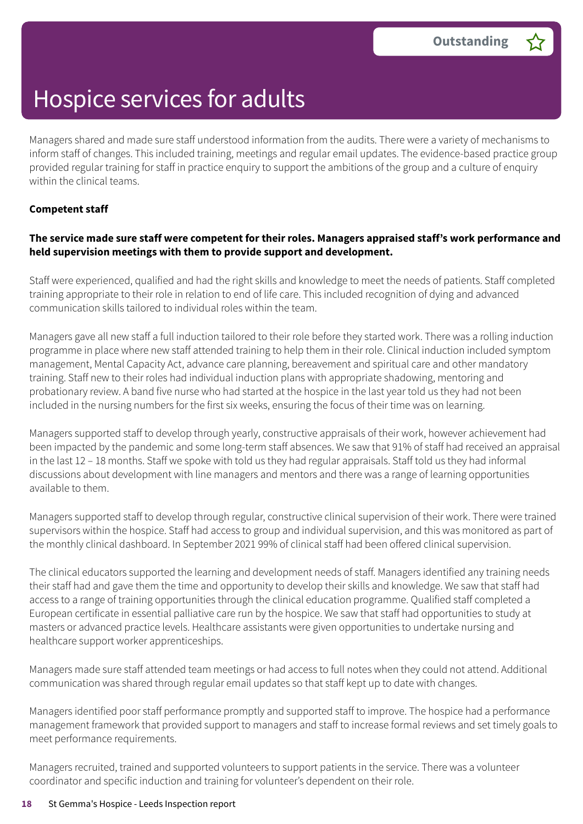Managers shared and made sure staff understood information from the audits. There were a variety of mechanisms to inform staff of changes. This included training, meetings and regular email updates. The evidence-based practice group provided regular training for staff in practice enquiry to support the ambitions of the group and a culture of enquiry within the clinical teams.

#### **Competent staff**

#### **The service made sure staff were competent for their roles. Managers appraised staff's work performance and held supervision meetings with them to provide support and development.**

Staff were experienced, qualified and had the right skills and knowledge to meet the needs of patients. Staff completed training appropriate to their role in relation to end of life care. This included recognition of dying and advanced communication skills tailored to individual roles within the team.

Managers gave all new staff a full induction tailored to their role before they started work. There was a rolling induction programme in place where new staff attended training to help them in their role. Clinical induction included symptom management, Mental Capacity Act, advance care planning, bereavement and spiritual care and other mandatory training. Staff new to their roles had individual induction plans with appropriate shadowing, mentoring and probationary review. A band five nurse who had started at the hospice in the last year told us they had not been included in the nursing numbers for the first six weeks, ensuring the focus of their time was on learning.

Managers supported staff to develop through yearly, constructive appraisals of their work, however achievement had been impacted by the pandemic and some long-term staff absences. We saw that 91% of staff had received an appraisal in the last 12 – 18 months. Staff we spoke with told us they had regular appraisals. Staff told us they had informal discussions about development with line managers and mentors and there was a range of learning opportunities available to them.

Managers supported staff to develop through regular, constructive clinical supervision of their work. There were trained supervisors within the hospice. Staff had access to group and individual supervision, and this was monitored as part of the monthly clinical dashboard. In September 2021 99% of clinical staff had been offered clinical supervision.

The clinical educators supported the learning and development needs of staff. Managers identified any training needs their staff had and gave them the time and opportunity to develop their skills and knowledge. We saw that staff had access to a range of training opportunities through the clinical education programme. Qualified staff completed a European certificate in essential palliative care run by the hospice. We saw that staff had opportunities to study at masters or advanced practice levels. Healthcare assistants were given opportunities to undertake nursing and healthcare support worker apprenticeships.

Managers made sure staff attended team meetings or had access to full notes when they could not attend. Additional communication was shared through regular email updates so that staff kept up to date with changes.

Managers identified poor staff performance promptly and supported staff to improve. The hospice had a performance management framework that provided support to managers and staff to increase formal reviews and set timely goals to meet performance requirements.

Managers recruited, trained and supported volunteers to support patients in the service. There was a volunteer coordinator and specific induction and training for volunteer's dependent on their role.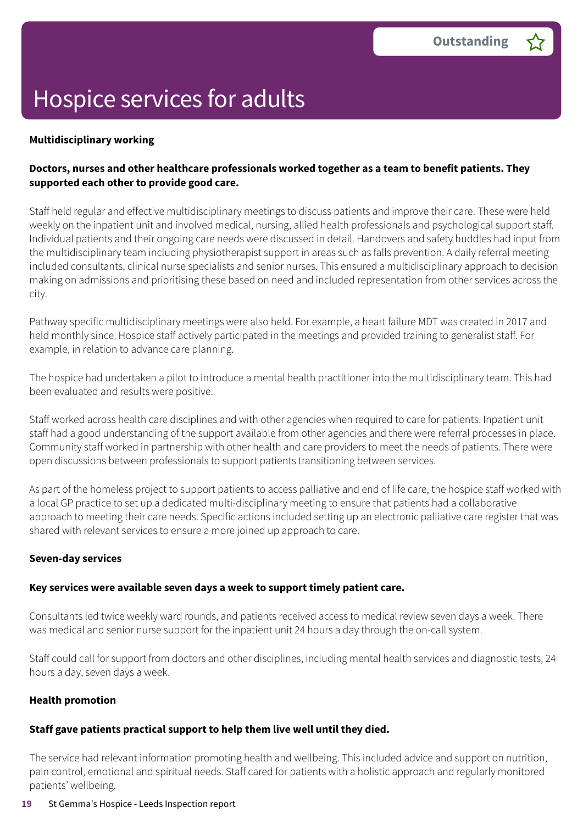#### **Multidisciplinary working**

#### **Doctors, nurses and other healthcare professionals worked together as a team to benefit patients. They supported each other to provide good care.**

Staff held regular and effective multidisciplinary meetings to discuss patients and improve their care. These were held weekly on the inpatient unit and involved medical, nursing, allied health professionals and psychological support staff. Individual patients and their ongoing care needs were discussed in detail. Handovers and safety huddles had input from the multidisciplinary team including physiotherapist support in areas such as falls prevention. A daily referral meeting included consultants, clinical nurse specialists and senior nurses. This ensured a multidisciplinary approach to decision making on admissions and prioritising these based on need and included representation from other services across the city.

Pathway specific multidisciplinary meetings were also held. For example, a heart failure MDT was created in 2017 and held monthly since. Hospice staff actively participated in the meetings and provided training to generalist staff. For example, in relation to advance care planning.

The hospice had undertaken a pilot to introduce a mental health practitioner into the multidisciplinary team. This had been evaluated and results were positive.

Staff worked across health care disciplines and with other agencies when required to care for patients. Inpatient unit staff had a good understanding of the support available from other agencies and there were referral processes in place. Community staff worked in partnership with other health and care providers to meet the needs of patients. There were open discussions between professionals to support patients transitioning between services.

As part of the homeless project to support patients to access palliative and end of life care, the hospice staff worked with a local GP practice to set up a dedicated multi-disciplinary meeting to ensure that patients had a collaborative approach to meeting their care needs. Specific actions included setting up an electronic palliative care register that was shared with relevant services to ensure a more joined up approach to care.

#### **Seven-day services**

#### **Key services were available seven days a week to support timely patient care.**

Consultants led twice weekly ward rounds, and patients received access to medical review seven days a week. There was medical and senior nurse support for the inpatient unit 24 hours a day through the on-call system.

Staff could call for support from doctors and other disciplines, including mental health services and diagnostic tests, 24 hours a day, seven days a week.

#### **Health promotion**

#### **Staff gave patients practical support to help them live well until they died.**

The service had relevant information promoting health and wellbeing. This included advice and support on nutrition, pain control, emotional and spiritual needs. Staff cared for patients with a holistic approach and regularly monitored patients' wellbeing.

#### **19** St Gemma's Hospice - Leeds Inspection report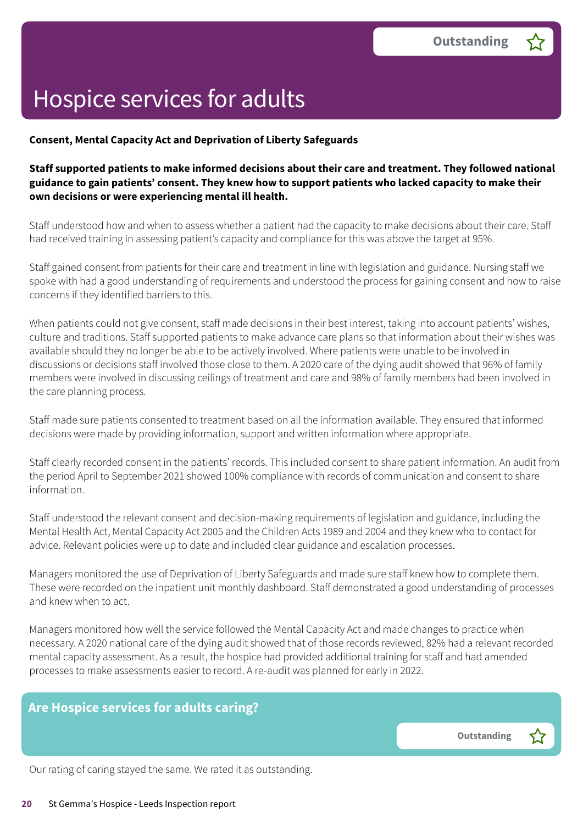#### **Consent, Mental Capacity Act and Deprivation of Liberty Safeguards**

#### **Staff supported patients to make informed decisions about their care and treatment. They followed national guidance to gain patients' consent. They knew how to support patients who lacked capacity to make their own decisions or were experiencing mental ill health.**

Staff understood how and when to assess whether a patient had the capacity to make decisions about their care. Staff had received training in assessing patient's capacity and compliance for this was above the target at 95%.

Staff gained consent from patients for their care and treatment in line with legislation and guidance. Nursing staff we spoke with had a good understanding of requirements and understood the process for gaining consent and how to raise concerns if they identified barriers to this.

When patients could not give consent, staff made decisions in their best interest, taking into account patients' wishes, culture and traditions. Staff supported patients to make advance care plans so that information about their wishes was available should they no longer be able to be actively involved. Where patients were unable to be involved in discussions or decisions staff involved those close to them. A 2020 care of the dying audit showed that 96% of family members were involved in discussing ceilings of treatment and care and 98% of family members had been involved in the care planning process.

Staff made sure patients consented to treatment based on all the information available. They ensured that informed decisions were made by providing information, support and written information where appropriate.

Staff clearly recorded consent in the patients' records. This included consent to share patient information. An audit from the period April to September 2021 showed 100% compliance with records of communication and consent to share information.

Staff understood the relevant consent and decision-making requirements of legislation and guidance, including the Mental Health Act, Mental Capacity Act 2005 and the Children Acts 1989 and 2004 and they knew who to contact for advice. Relevant policies were up to date and included clear guidance and escalation processes.

Managers monitored the use of Deprivation of Liberty Safeguards and made sure staff knew how to complete them. These were recorded on the inpatient unit monthly dashboard. Staff demonstrated a good understanding of processes and knew when to act.

Managers monitored how well the service followed the Mental Capacity Act and made changes to practice when necessary. A 2020 national care of the dying audit showed that of those records reviewed, 82% had a relevant recorded mental capacity assessment. As a result, the hospice had provided additional training for staff and had amended processes to make assessments easier to record. A re-audit was planned for early in 2022.

#### **Are Hospice services for adults caring?**

**Outstanding –**

Our rating of caring stayed the same. We rated it as outstanding.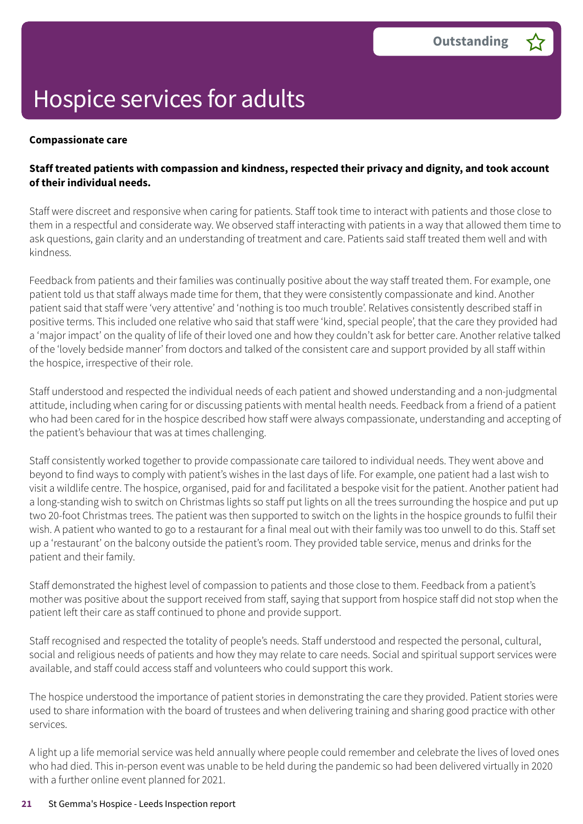#### **Compassionate care**

#### **Staff treated patients with compassion and kindness, respected their privacy and dignity, and took account of their individual needs.**

Staff were discreet and responsive when caring for patients. Staff took time to interact with patients and those close to them in a respectful and considerate way. We observed staff interacting with patients in a way that allowed them time to ask questions, gain clarity and an understanding of treatment and care. Patients said staff treated them well and with kindness.

Feedback from patients and their families was continually positive about the way staff treated them. For example, one patient told us that staff always made time for them, that they were consistently compassionate and kind. Another patient said that staff were 'very attentive' and 'nothing is too much trouble'. Relatives consistently described staff in positive terms. This included one relative who said that staff were 'kind, special people', that the care they provided had a 'major impact' on the quality of life of their loved one and how they couldn't ask for better care. Another relative talked of the 'lovely bedside manner' from doctors and talked of the consistent care and support provided by all staff within the hospice, irrespective of their role.

Staff understood and respected the individual needs of each patient and showed understanding and a non-judgmental attitude, including when caring for or discussing patients with mental health needs. Feedback from a friend of a patient who had been cared for in the hospice described how staff were always compassionate, understanding and accepting of the patient's behaviour that was at times challenging.

Staff consistently worked together to provide compassionate care tailored to individual needs. They went above and beyond to find ways to comply with patient's wishes in the last days of life. For example, one patient had a last wish to visit a wildlife centre. The hospice, organised, paid for and facilitated a bespoke visit for the patient. Another patient had a long-standing wish to switch on Christmas lights so staff put lights on all the trees surrounding the hospice and put up two 20-foot Christmas trees. The patient was then supported to switch on the lights in the hospice grounds to fulfil their wish. A patient who wanted to go to a restaurant for a final meal out with their family was too unwell to do this. Staff set up a 'restaurant' on the balcony outside the patient's room. They provided table service, menus and drinks for the patient and their family.

Staff demonstrated the highest level of compassion to patients and those close to them. Feedback from a patient's mother was positive about the support received from staff, saying that support from hospice staff did not stop when the patient left their care as staff continued to phone and provide support.

Staff recognised and respected the totality of people's needs. Staff understood and respected the personal, cultural, social and religious needs of patients and how they may relate to care needs. Social and spiritual support services were available, and staff could access staff and volunteers who could support this work.

The hospice understood the importance of patient stories in demonstrating the care they provided. Patient stories were used to share information with the board of trustees and when delivering training and sharing good practice with other services.

A light up a life memorial service was held annually where people could remember and celebrate the lives of loved ones who had died. This in-person event was unable to be held during the pandemic so had been delivered virtually in 2020 with a further online event planned for 2021.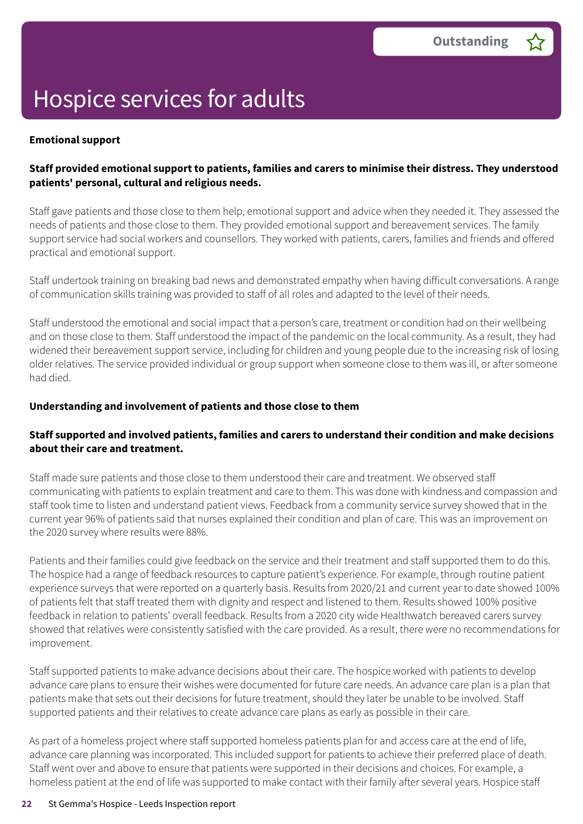#### **Emotional support**

#### **Staff provided emotional support to patients, families and carers to minimise their distress. They understood patients' personal, cultural and religious needs.**

Staff gave patients and those close to them help, emotional support and advice when they needed it. They assessed the needs of patients and those close to them. They provided emotional support and bereavement services. The family support service had social workers and counsellors. They worked with patients, carers, families and friends and offered practical and emotional support.

Staff undertook training on breaking bad news and demonstrated empathy when having difficult conversations. A range of communication skills training was provided to staff of all roles and adapted to the level of their needs.

Staff understood the emotional and social impact that a person's care, treatment or condition had on their wellbeing and on those close to them. Staff understood the impact of the pandemic on the local community. As a result, they had widened their bereavement support service, including for children and young people due to the increasing risk of losing older relatives. The service provided individual or group support when someone close to them was ill, or after someone had died.

#### **Understanding and involvement of patients and those close to them**

#### **Staff supported and involved patients, families and carers to understand their condition and make decisions about their care and treatment.**

Staff made sure patients and those close to them understood their care and treatment. We observed staff communicating with patients to explain treatment and care to them. This was done with kindness and compassion and staff took time to listen and understand patient views. Feedback from a community service survey showed that in the current year 96% of patients said that nurses explained their condition and plan of care. This was an improvement on the 2020 survey where results were 88%.

Patients and their families could give feedback on the service and their treatment and staff supported them to do this. The hospice had a range of feedback resources to capture patient's experience. For example, through routine patient experience surveys that were reported on a quarterly basis. Results from 2020/21 and current year to date showed 100% of patients felt that staff treated them with dignity and respect and listened to them. Results showed 100% positive feedback in relation to patients' overall feedback. Results from a 2020 city wide Healthwatch bereaved carers survey showed that relatives were consistently satisfied with the care provided. As a result, there were no recommendations for improvement.

Staff supported patients to make advance decisions about their care. The hospice worked with patients to develop advance care plans to ensure their wishes were documented for future care needs. An advance care plan is a plan that patients make that sets out their decisions for future treatment, should they later be unable to be involved. Staff supported patients and their relatives to create advance care plans as early as possible in their care.

As part of a homeless project where staff supported homeless patients plan for and access care at the end of life, advance care planning was incorporated. This included support for patients to achieve their preferred place of death. Staff went over and above to ensure that patients were supported in their decisions and choices. For example, a homeless patient at the end of life was supported to make contact with their family after several years. Hospice staff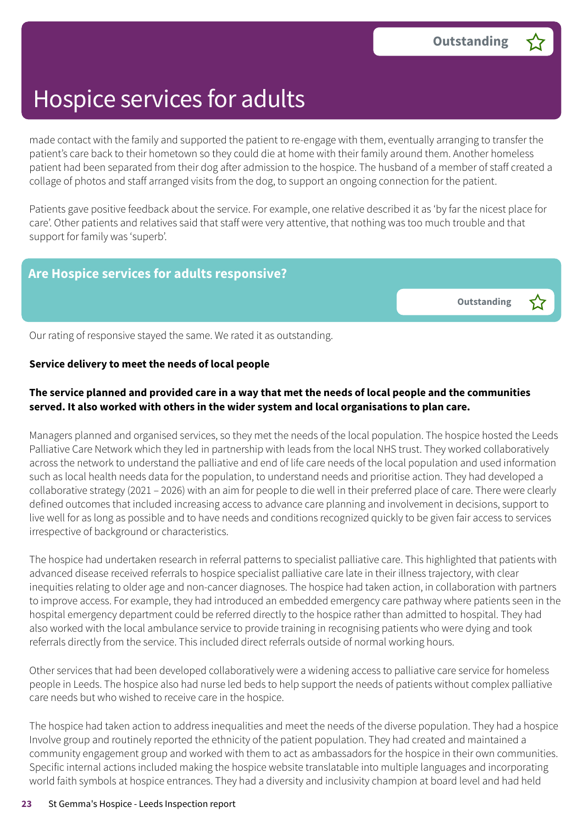made contact with the family and supported the patient to re-engage with them, eventually arranging to transfer the patient's care back to their hometown so they could die at home with their family around them. Another homeless patient had been separated from their dog after admission to the hospice. The husband of a member of staff created a collage of photos and staff arranged visits from the dog, to support an ongoing connection for the patient.

Patients gave positive feedback about the service. For example, one relative described it as 'by far the nicest place for care'. Other patients and relatives said that staff were very attentive, that nothing was too much trouble and that support for family was 'superb'.

#### **Are Hospice services for adults responsive?**

**Outstanding –**

Our rating of responsive stayed the same. We rated it as outstanding.

#### **Service delivery to meet the needs of local people**

#### The service planned and provided care in a way that met the needs of local people and the communities **served. It also worked with others in the wider system and local organisations to plan care.**

Managers planned and organised services, so they met the needs of the local population. The hospice hosted the Leeds Palliative Care Network which they led in partnership with leads from the local NHS trust. They worked collaboratively across the network to understand the palliative and end of life care needs of the local population and used information such as local health needs data for the population, to understand needs and prioritise action. They had developed a collaborative strategy (2021 – 2026) with an aim for people to die well in their preferred place of care. There were clearly defined outcomes that included increasing access to advance care planning and involvement in decisions, support to live well for as long as possible and to have needs and conditions recognized quickly to be given fair access to services irrespective of background or characteristics.

The hospice had undertaken research in referral patterns to specialist palliative care. This highlighted that patients with advanced disease received referrals to hospice specialist palliative care late in their illness trajectory, with clear inequities relating to older age and non-cancer diagnoses. The hospice had taken action, in collaboration with partners to improve access. For example, they had introduced an embedded emergency care pathway where patients seen in the hospital emergency department could be referred directly to the hospice rather than admitted to hospital. They had also worked with the local ambulance service to provide training in recognising patients who were dying and took referrals directly from the service. This included direct referrals outside of normal working hours.

Other services that had been developed collaboratively were a widening access to palliative care service for homeless people in Leeds. The hospice also had nurse led beds to help support the needs of patients without complex palliative care needs but who wished to receive care in the hospice.

The hospice had taken action to address inequalities and meet the needs of the diverse population. They had a hospice Involve group and routinely reported the ethnicity of the patient population. They had created and maintained a community engagement group and worked with them to act as ambassadors for the hospice in their own communities. Specific internal actions included making the hospice website translatable into multiple languages and incorporating world faith symbols at hospice entrances. They had a diversity and inclusivity champion at board level and had held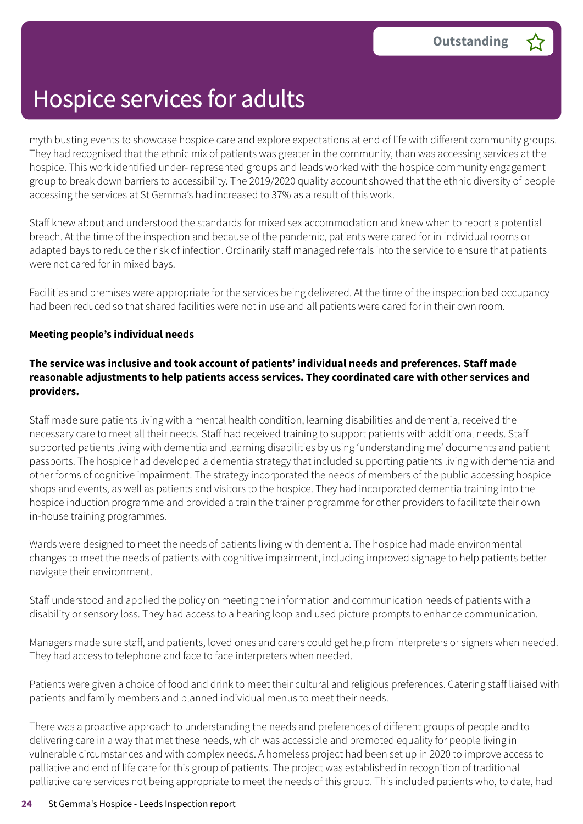myth busting events to showcase hospice care and explore expectations at end of life with different community groups. They had recognised that the ethnic mix of patients was greater in the community, than was accessing services at the hospice. This work identified under- represented groups and leads worked with the hospice community engagement group to break down barriers to accessibility. The 2019/2020 quality account showed that the ethnic diversity of people accessing the services at St Gemma's had increased to 37% as a result of this work.

Staff knew about and understood the standards for mixed sex accommodation and knew when to report a potential breach. At the time of the inspection and because of the pandemic, patients were cared for in individual rooms or adapted bays to reduce the risk of infection. Ordinarily staff managed referrals into the service to ensure that patients were not cared for in mixed bays.

Facilities and premises were appropriate for the services being delivered. At the time of the inspection bed occupancy had been reduced so that shared facilities were not in use and all patients were cared for in their own room.

#### **Meeting people's individual needs**

#### **The service was inclusive and took account of patients' individual needs and preferences. Staff made reasonable adjustments to help patients access services. They coordinated care with other services and providers.**

Staff made sure patients living with a mental health condition, learning disabilities and dementia, received the necessary care to meet all their needs. Staff had received training to support patients with additional needs. Staff supported patients living with dementia and learning disabilities by using 'understanding me' documents and patient passports. The hospice had developed a dementia strategy that included supporting patients living with dementia and other forms of cognitive impairment. The strategy incorporated the needs of members of the public accessing hospice shops and events, as well as patients and visitors to the hospice. They had incorporated dementia training into the hospice induction programme and provided a train the trainer programme for other providers to facilitate their own in-house training programmes.

Wards were designed to meet the needs of patients living with dementia. The hospice had made environmental changes to meet the needs of patients with cognitive impairment, including improved signage to help patients better navigate their environment.

Staff understood and applied the policy on meeting the information and communication needs of patients with a disability or sensory loss. They had access to a hearing loop and used picture prompts to enhance communication.

Managers made sure staff, and patients, loved ones and carers could get help from interpreters or signers when needed. They had access to telephone and face to face interpreters when needed.

Patients were given a choice of food and drink to meet their cultural and religious preferences. Catering staff liaised with patients and family members and planned individual menus to meet their needs.

There was a proactive approach to understanding the needs and preferences of different groups of people and to delivering care in a way that met these needs, which was accessible and promoted equality for people living in vulnerable circumstances and with complex needs. A homeless project had been set up in 2020 to improve access to palliative and end of life care for this group of patients. The project was established in recognition of traditional palliative care services not being appropriate to meet the needs of this group. This included patients who, to date, had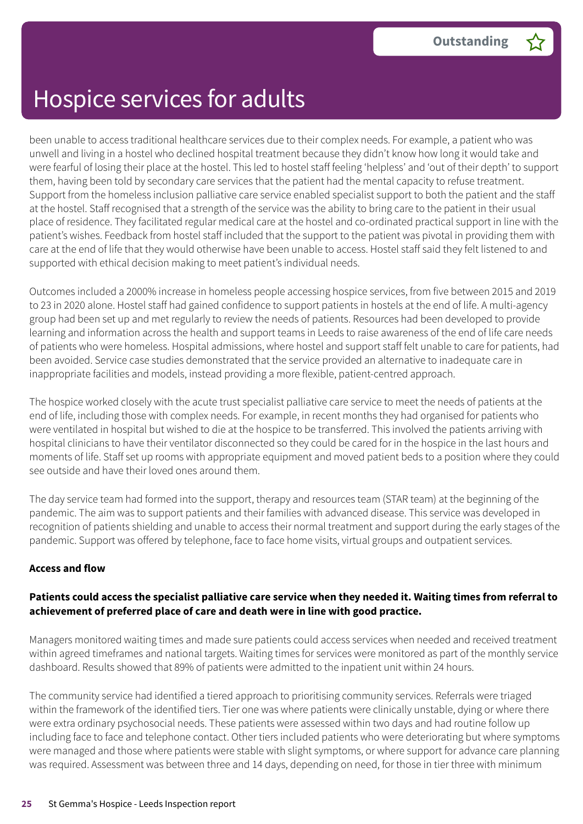been unable to access traditional healthcare services due to their complex needs. For example, a patient who was unwell and living in a hostel who declined hospital treatment because they didn't know how long it would take and were fearful of losing their place at the hostel. This led to hostel staff feeling 'helpless' and 'out of their depth' to support them, having been told by secondary care services that the patient had the mental capacity to refuse treatment. Support from the homeless inclusion palliative care service enabled specialist support to both the patient and the staff at the hostel. Staff recognised that a strength of the service was the ability to bring care to the patient in their usual place of residence. They facilitated regular medical care at the hostel and co-ordinated practical support in line with the patient's wishes. Feedback from hostel staff included that the support to the patient was pivotal in providing them with care at the end of life that they would otherwise have been unable to access. Hostel staff said they felt listened to and supported with ethical decision making to meet patient's individual needs.

Outcomes included a 2000% increase in homeless people accessing hospice services, from five between 2015 and 2019 to 23 in 2020 alone. Hostel staff had gained confidence to support patients in hostels at the end of life. A multi-agency group had been set up and met regularly to review the needs of patients. Resources had been developed to provide learning and information across the health and support teams in Leeds to raise awareness of the end of life care needs of patients who were homeless. Hospital admissions, where hostel and support staff felt unable to care for patients, had been avoided. Service case studies demonstrated that the service provided an alternative to inadequate care in inappropriate facilities and models, instead providing a more flexible, patient-centred approach.

The hospice worked closely with the acute trust specialist palliative care service to meet the needs of patients at the end of life, including those with complex needs. For example, in recent months they had organised for patients who were ventilated in hospital but wished to die at the hospice to be transferred. This involved the patients arriving with hospital clinicians to have their ventilator disconnected so they could be cared for in the hospice in the last hours and moments of life. Staff set up rooms with appropriate equipment and moved patient beds to a position where they could see outside and have their loved ones around them.

The day service team had formed into the support, therapy and resources team (STAR team) at the beginning of the pandemic. The aim was to support patients and their families with advanced disease. This service was developed in recognition of patients shielding and unable to access their normal treatment and support during the early stages of the pandemic. Support was offered by telephone, face to face home visits, virtual groups and outpatient services.

#### **Access and flow**

#### Patients could access the specialist palliative care service when they needed it. Waiting times from referral to **achievement of preferred place of care and death were in line with good practice.**

Managers monitored waiting times and made sure patients could access services when needed and received treatment within agreed timeframes and national targets. Waiting times for services were monitored as part of the monthly service dashboard. Results showed that 89% of patients were admitted to the inpatient unit within 24 hours.

The community service had identified a tiered approach to prioritising community services. Referrals were triaged within the framework of the identified tiers. Tier one was where patients were clinically unstable, dying or where there were extra ordinary psychosocial needs. These patients were assessed within two days and had routine follow up including face to face and telephone contact. Other tiers included patients who were deteriorating but where symptoms were managed and those where patients were stable with slight symptoms, or where support for advance care planning was required. Assessment was between three and 14 days, depending on need, for those in tier three with minimum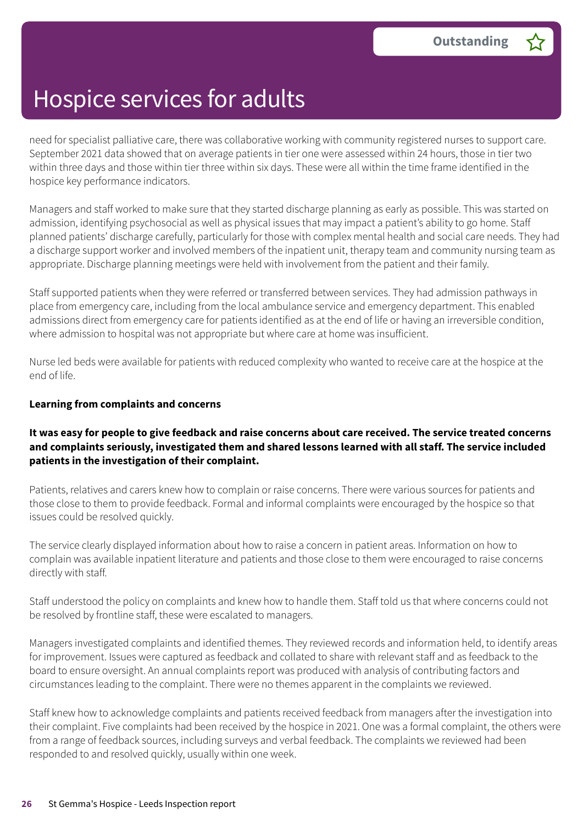need for specialist palliative care, there was collaborative working with community registered nurses to support care. September 2021 data showed that on average patients in tier one were assessed within 24 hours, those in tier two within three days and those within tier three within six days. These were all within the time frame identified in the hospice key performance indicators.

Managers and staff worked to make sure that they started discharge planning as early as possible. This was started on admission, identifying psychosocial as well as physical issues that may impact a patient's ability to go home. Staff planned patients' discharge carefully, particularly for those with complex mental health and social care needs. They had a discharge support worker and involved members of the inpatient unit, therapy team and community nursing team as appropriate. Discharge planning meetings were held with involvement from the patient and their family.

Staff supported patients when they were referred or transferred between services. They had admission pathways in place from emergency care, including from the local ambulance service and emergency department. This enabled admissions direct from emergency care for patients identified as at the end of life or having an irreversible condition, where admission to hospital was not appropriate but where care at home was insufficient.

Nurse led beds were available for patients with reduced complexity who wanted to receive care at the hospice at the end of life.

#### **Learning from complaints and concerns**

#### It was easy for people to give feedback and raise concerns about care received. The service treated concerns **and complaints seriously, investigated them and shared lessons learned with all staff. The service included patients in the investigation of their complaint.**

Patients, relatives and carers knew how to complain or raise concerns. There were various sources for patients and those close to them to provide feedback. Formal and informal complaints were encouraged by the hospice so that issues could be resolved quickly.

The service clearly displayed information about how to raise a concern in patient areas. Information on how to complain was available inpatient literature and patients and those close to them were encouraged to raise concerns directly with staff.

Staff understood the policy on complaints and knew how to handle them. Staff told us that where concerns could not be resolved by frontline staff, these were escalated to managers.

Managers investigated complaints and identified themes. They reviewed records and information held, to identify areas for improvement. Issues were captured as feedback and collated to share with relevant staff and as feedback to the board to ensure oversight. An annual complaints report was produced with analysis of contributing factors and circumstances leading to the complaint. There were no themes apparent in the complaints we reviewed.

Staff knew how to acknowledge complaints and patients received feedback from managers after the investigation into their complaint. Five complaints had been received by the hospice in 2021. One was a formal complaint, the others were from a range of feedback sources, including surveys and verbal feedback. The complaints we reviewed had been responded to and resolved quickly, usually within one week.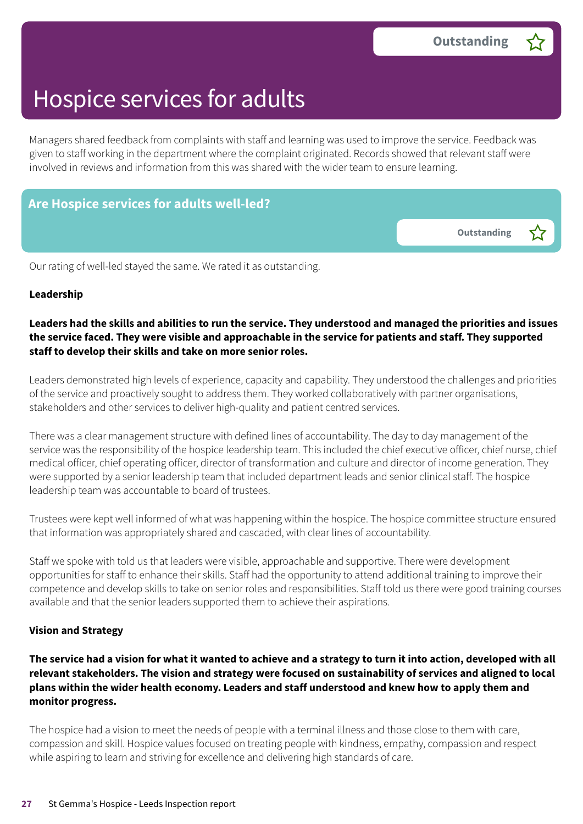**Outstanding –**

### Hospice services for adults

Managers shared feedback from complaints with staff and learning was used to improve the service. Feedback was given to staff working in the department where the complaint originated. Records showed that relevant staff were involved in reviews and information from this was shared with the wider team to ensure learning.

#### **Are Hospice services for adults well-led?**

Our rating of well-led stayed the same. We rated it as outstanding.

#### **Leadership**

#### Leaders had the skills and abilities to run the service. They understood and managed the priorities and issues the service faced. They were visible and approachable in the service for patients and staff. They supported **staff to develop their skills and take on more senior roles.**

Leaders demonstrated high levels of experience, capacity and capability. They understood the challenges and priorities of the service and proactively sought to address them. They worked collaboratively with partner organisations, stakeholders and other services to deliver high-quality and patient centred services.

There was a clear management structure with defined lines of accountability. The day to day management of the service was the responsibility of the hospice leadership team. This included the chief executive officer, chief nurse, chief medical officer, chief operating officer, director of transformation and culture and director of income generation. They were supported by a senior leadership team that included department leads and senior clinical staff. The hospice leadership team was accountable to board of trustees.

Trustees were kept well informed of what was happening within the hospice. The hospice committee structure ensured that information was appropriately shared and cascaded, with clear lines of accountability.

Staff we spoke with told us that leaders were visible, approachable and supportive. There were development opportunities for staff to enhance their skills. Staff had the opportunity to attend additional training to improve their competence and develop skills to take on senior roles and responsibilities. Staff told us there were good training courses available and that the senior leaders supported them to achieve their aspirations.

#### **Vision and Strategy**

The service had a vision for what it wanted to achieve and a strategy to turn it into action, developed with all **relevant stakeholders. The vision and strategy were focused on sustainability of services and aligned to local plans within the wider health economy. Leaders and staff understood and knew how to apply them and monitor progress.**

The hospice had a vision to meet the needs of people with a terminal illness and those close to them with care, compassion and skill. Hospice values focused on treating people with kindness, empathy, compassion and respect while aspiring to learn and striving for excellence and delivering high standards of care.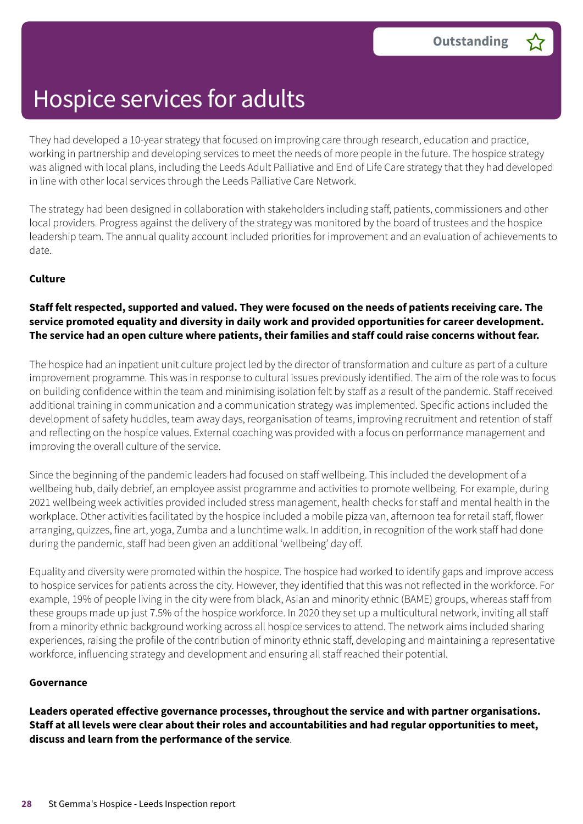They had developed a 10-year strategy that focused on improving care through research, education and practice, working in partnership and developing services to meet the needs of more people in the future. The hospice strategy was aligned with local plans, including the Leeds Adult Palliative and End of Life Care strategy that they had developed in line with other local services through the Leeds Palliative Care Network.

The strategy had been designed in collaboration with stakeholders including staff, patients, commissioners and other local providers. Progress against the delivery of the strategy was monitored by the board of trustees and the hospice leadership team. The annual quality account included priorities for improvement and an evaluation of achievements to date.

#### **Culture**

#### Staff felt respected, supported and valued. They were focused on the needs of patients receiving care. The **service promoted equality and diversity in daily work and provided opportunities for career development.** The service had an open culture where patients, their families and staff could raise concerns without fear.

The hospice had an inpatient unit culture project led by the director of transformation and culture as part of a culture improvement programme. This was in response to cultural issues previously identified. The aim of the role was to focus on building confidence within the team and minimising isolation felt by staff as a result of the pandemic. Staff received additional training in communication and a communication strategy was implemented. Specific actions included the development of safety huddles, team away days, reorganisation of teams, improving recruitment and retention of staff and reflecting on the hospice values. External coaching was provided with a focus on performance management and improving the overall culture of the service.

Since the beginning of the pandemic leaders had focused on staff wellbeing. This included the development of a wellbeing hub, daily debrief, an employee assist programme and activities to promote wellbeing. For example, during 2021 wellbeing week activities provided included stress management, health checks for staff and mental health in the workplace. Other activities facilitated by the hospice included a mobile pizza van, afternoon tea for retail staff, flower arranging, quizzes, fine art, yoga, Zumba and a lunchtime walk. In addition, in recognition of the work staff had done during the pandemic, staff had been given an additional 'wellbeing' day off.

Equality and diversity were promoted within the hospice. The hospice had worked to identify gaps and improve access to hospice services for patients across the city. However, they identified that this was not reflected in the workforce. For example, 19% of people living in the city were from black, Asian and minority ethnic (BAME) groups, whereas staff from these groups made up just 7.5% of the hospice workforce. In 2020 they set up a multicultural network, inviting all staff from a minority ethnic background working across all hospice services to attend. The network aims included sharing experiences, raising the profile of the contribution of minority ethnic staff, developing and maintaining a representative workforce, influencing strategy and development and ensuring all staff reached their potential.

#### **Governance**

**Leaders operated effective governance processes, throughout the service and with partner organisations.** Staff at all levels were clear about their roles and accountabilities and had regular opportunities to meet, **discuss and learn from the performance of the service**.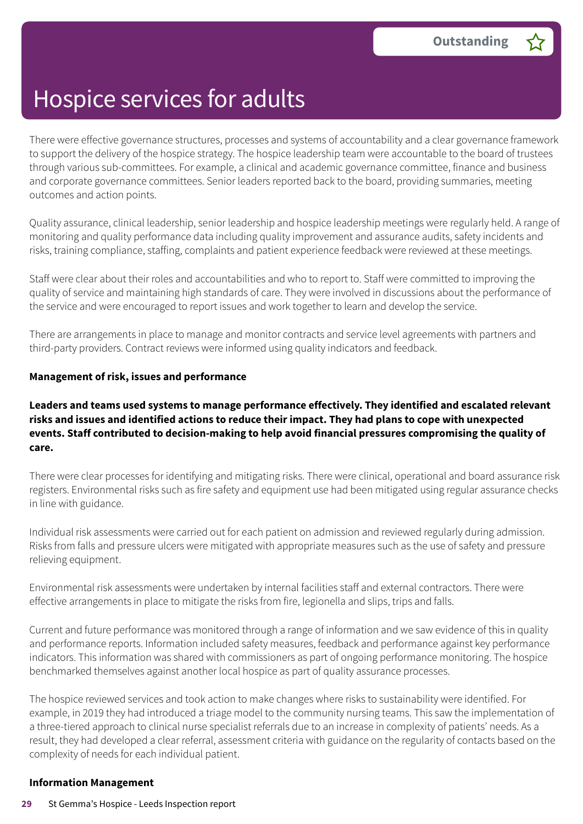There were effective governance structures, processes and systems of accountability and a clear governance framework to support the delivery of the hospice strategy. The hospice leadership team were accountable to the board of trustees through various sub-committees. For example, a clinical and academic governance committee, finance and business and corporate governance committees. Senior leaders reported back to the board, providing summaries, meeting outcomes and action points.

Quality assurance, clinical leadership, senior leadership and hospice leadership meetings were regularly held. A range of monitoring and quality performance data including quality improvement and assurance audits, safety incidents and risks, training compliance, staffing, complaints and patient experience feedback were reviewed at these meetings.

Staff were clear about their roles and accountabilities and who to report to. Staff were committed to improving the quality of service and maintaining high standards of care. They were involved in discussions about the performance of the service and were encouraged to report issues and work together to learn and develop the service.

There are arrangements in place to manage and monitor contracts and service level agreements with partners and third-party providers. Contract reviews were informed using quality indicators and feedback.

#### **Management of risk, issues and performance**

#### **Leaders and teams used systems to manage performance effectively. They identified and escalated relevant risks and issues and identified actions to reduce their impact. They had plans to cope with unexpected events. Staff contributed to decision-making to help avoid financial pressures compromising the quality of care.**

There were clear processes for identifying and mitigating risks. There were clinical, operational and board assurance risk registers. Environmental risks such as fire safety and equipment use had been mitigated using regular assurance checks in line with guidance.

Individual risk assessments were carried out for each patient on admission and reviewed regularly during admission. Risks from falls and pressure ulcers were mitigated with appropriate measures such as the use of safety and pressure relieving equipment.

Environmental risk assessments were undertaken by internal facilities staff and external contractors. There were effective arrangements in place to mitigate the risks from fire, legionella and slips, trips and falls.

Current and future performance was monitored through a range of information and we saw evidence of this in quality and performance reports. Information included safety measures, feedback and performance against key performance indicators. This information was shared with commissioners as part of ongoing performance monitoring. The hospice benchmarked themselves against another local hospice as part of quality assurance processes.

The hospice reviewed services and took action to make changes where risks to sustainability were identified. For example, in 2019 they had introduced a triage model to the community nursing teams. This saw the implementation of a three-tiered approach to clinical nurse specialist referrals due to an increase in complexity of patients' needs. As a result, they had developed a clear referral, assessment criteria with guidance on the regularity of contacts based on the complexity of needs for each individual patient.

#### **Information Management**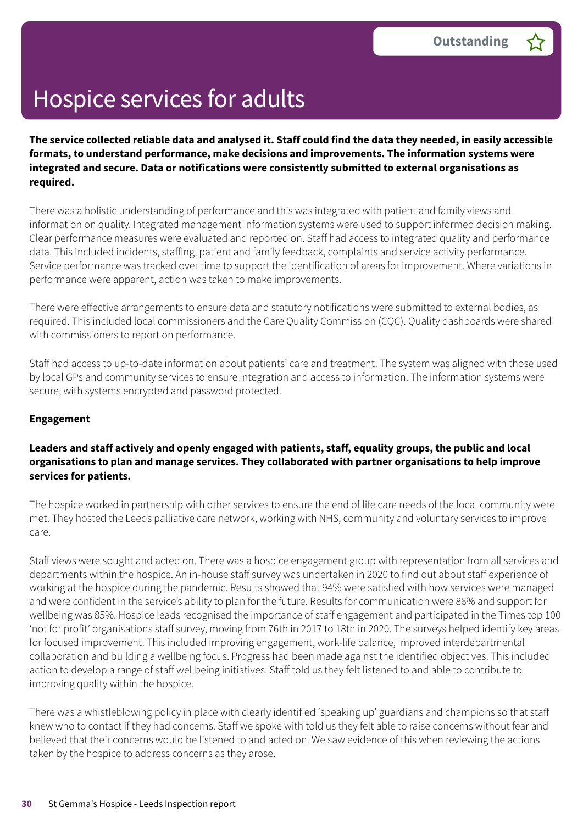The service collected reliable data and analysed it. Staff could find the data they needed, in easily accessible **formats, to understand performance, make decisions and improvements. The information systems were integrated and secure. Data or notifications were consistently submitted to external organisations as required.**

There was a holistic understanding of performance and this was integrated with patient and family views and information on quality. Integrated management information systems were used to support informed decision making. Clear performance measures were evaluated and reported on. Staff had access to integrated quality and performance data. This included incidents, staffing, patient and family feedback, complaints and service activity performance. Service performance was tracked over time to support the identification of areas for improvement. Where variations in performance were apparent, action was taken to make improvements.

There were effective arrangements to ensure data and statutory notifications were submitted to external bodies, as required. This included local commissioners and the Care Quality Commission (CQC). Quality dashboards were shared with commissioners to report on performance.

Staff had access to up-to-date information about patients' care and treatment. The system was aligned with those used by local GPs and community services to ensure integration and access to information. The information systems were secure, with systems encrypted and password protected.

#### **Engagement**

#### **Leaders and staff actively and openly engaged with patients, staff, equality groups, the public and local organisations to plan and manage services. They collaborated with partner organisations to help improve services for patients.**

The hospice worked in partnership with other services to ensure the end of life care needs of the local community were met. They hosted the Leeds palliative care network, working with NHS, community and voluntary services to improve care.

Staff views were sought and acted on. There was a hospice engagement group with representation from all services and departments within the hospice. An in-house staff survey was undertaken in 2020 to find out about staff experience of working at the hospice during the pandemic. Results showed that 94% were satisfied with how services were managed and were confident in the service's ability to plan for the future. Results for communication were 86% and support for wellbeing was 85%. Hospice leads recognised the importance of staff engagement and participated in the Times top 100 'not for profit' organisations staff survey, moving from 76th in 2017 to 18th in 2020. The surveys helped identify key areas for focused improvement. This included improving engagement, work-life balance, improved interdepartmental collaboration and building a wellbeing focus. Progress had been made against the identified objectives. This included action to develop a range of staff wellbeing initiatives. Staff told us they felt listened to and able to contribute to improving quality within the hospice.

There was a whistleblowing policy in place with clearly identified 'speaking up' guardians and champions so that staff knew who to contact if they had concerns. Staff we spoke with told us they felt able to raise concerns without fear and believed that their concerns would be listened to and acted on. We saw evidence of this when reviewing the actions taken by the hospice to address concerns as they arose.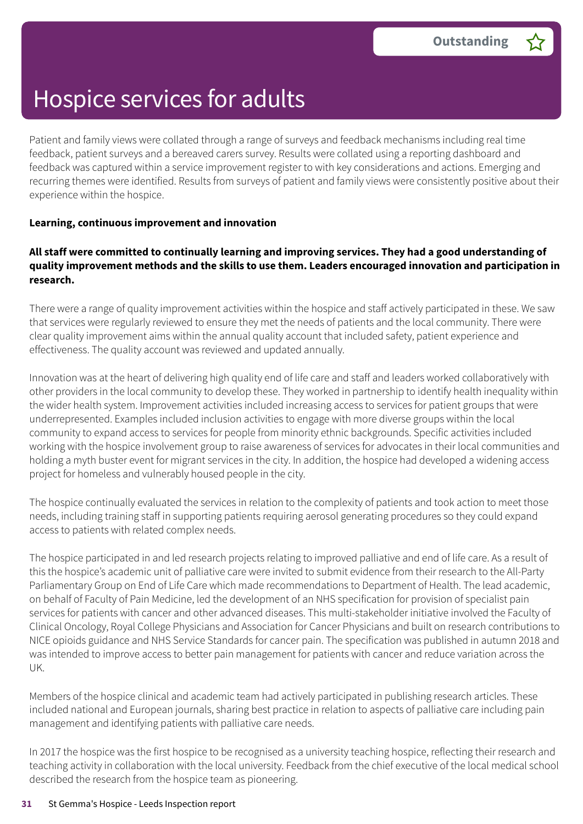Patient and family views were collated through a range of surveys and feedback mechanisms including real time feedback, patient surveys and a bereaved carers survey. Results were collated using a reporting dashboard and feedback was captured within a service improvement register to with key considerations and actions. Emerging and recurring themes were identified. Results from surveys of patient and family views were consistently positive about their experience within the hospice.

#### **Learning, continuous improvement and innovation**

#### **All staff were committed to continually learning and improving services. They had a good understanding of quality improvement methods and the skills to use them. Leaders encouraged innovation and participation in research.**

There were a range of quality improvement activities within the hospice and staff actively participated in these. We saw that services were regularly reviewed to ensure they met the needs of patients and the local community. There were clear quality improvement aims within the annual quality account that included safety, patient experience and effectiveness. The quality account was reviewed and updated annually.

Innovation was at the heart of delivering high quality end of life care and staff and leaders worked collaboratively with other providers in the local community to develop these. They worked in partnership to identify health inequality within the wider health system. Improvement activities included increasing access to services for patient groups that were underrepresented. Examples included inclusion activities to engage with more diverse groups within the local community to expand access to services for people from minority ethnic backgrounds. Specific activities included working with the hospice involvement group to raise awareness of services for advocates in their local communities and holding a myth buster event for migrant services in the city. In addition, the hospice had developed a widening access project for homeless and vulnerably housed people in the city.

The hospice continually evaluated the services in relation to the complexity of patients and took action to meet those needs, including training staff in supporting patients requiring aerosol generating procedures so they could expand access to patients with related complex needs.

The hospice participated in and led research projects relating to improved palliative and end of life care. As a result of this the hospice's academic unit of palliative care were invited to submit evidence from their research to the All-Party Parliamentary Group on End of Life Care which made recommendations to Department of Health. The lead academic, on behalf of Faculty of Pain Medicine, led the development of an NHS specification for provision of specialist pain services for patients with cancer and other advanced diseases. This multi-stakeholder initiative involved the Faculty of Clinical Oncology, Royal College Physicians and Association for Cancer Physicians and built on research contributions to NICE opioids guidance and NHS Service Standards for cancer pain. The specification was published in autumn 2018 and was intended to improve access to better pain management for patients with cancer and reduce variation across the UK.

Members of the hospice clinical and academic team had actively participated in publishing research articles. These included national and European journals, sharing best practice in relation to aspects of palliative care including pain management and identifying patients with palliative care needs.

In 2017 the hospice was the first hospice to be recognised as a university teaching hospice, reflecting their research and teaching activity in collaboration with the local university. Feedback from the chief executive of the local medical school described the research from the hospice team as pioneering.